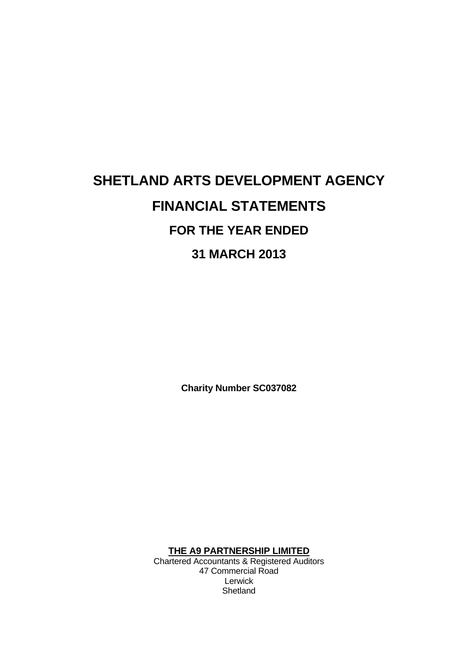# **SHETLAND ARTS DEVELOPMENT AGENCY FINANCIAL STATEMENTS FOR THE YEAR ENDED 31 MARCH 2013**

**Charity Number SC037082**

**THE A9 PARTNERSHIP LIMITED**

Chartered Accountants & Registered Auditors 47 Commercial Road Lerwick **Shetland**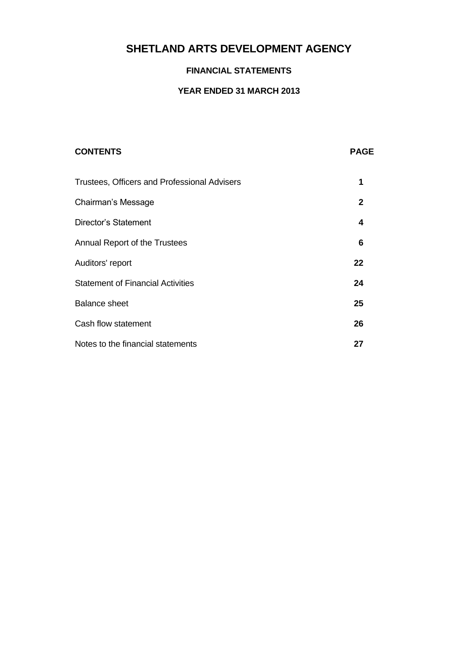### **FINANCIAL STATEMENTS**

### **YEAR ENDED 31 MARCH 2013**

| <b>CONTENTS</b>                                     | <b>PAGE</b>  |
|-----------------------------------------------------|--------------|
| <b>Trustees, Officers and Professional Advisers</b> | 1            |
| Chairman's Message                                  | $\mathbf{2}$ |
| Director's Statement                                | 4            |
| Annual Report of the Trustees                       | 6            |
| Auditors' report                                    | 22           |
| <b>Statement of Financial Activities</b>            | 24           |
| <b>Balance sheet</b>                                | 25           |
| Cash flow statement                                 | 26           |
| Notes to the financial statements                   | 27           |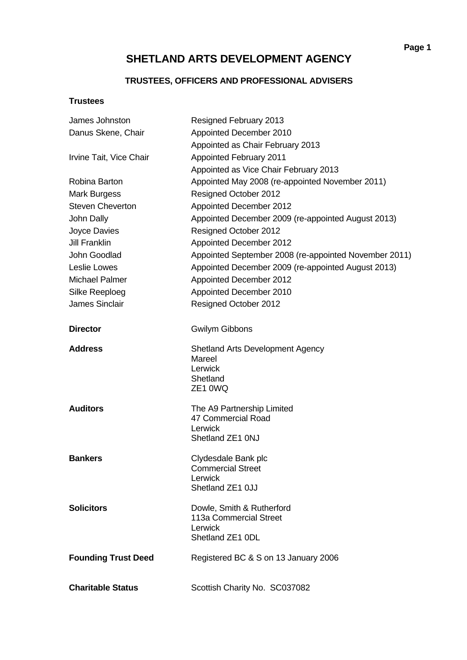## **TRUSTEES, OFFICERS AND PROFESSIONAL ADVISERS**

### **Trustees**

| James Johnston             | Resigned February 2013                                                              |
|----------------------------|-------------------------------------------------------------------------------------|
| Danus Skene, Chair         | Appointed December 2010                                                             |
|                            | Appointed as Chair February 2013                                                    |
| Irvine Tait, Vice Chair    | <b>Appointed February 2011</b>                                                      |
|                            | Appointed as Vice Chair February 2013                                               |
| Robina Barton              | Appointed May 2008 (re-appointed November 2011)                                     |
| Mark Burgess               | Resigned October 2012                                                               |
| <b>Steven Cheverton</b>    | <b>Appointed December 2012</b>                                                      |
| John Dally                 | Appointed December 2009 (re-appointed August 2013)                                  |
| Joyce Davies               | Resigned October 2012                                                               |
| <b>Jill Franklin</b>       | Appointed December 2012                                                             |
| John Goodlad               | Appointed September 2008 (re-appointed November 2011)                               |
| Leslie Lowes               | Appointed December 2009 (re-appointed August 2013)                                  |
| <b>Michael Palmer</b>      | Appointed December 2012                                                             |
| Silke Reeploeg             | Appointed December 2010                                                             |
| <b>James Sinclair</b>      | Resigned October 2012                                                               |
| <b>Director</b>            | <b>Gwilym Gibbons</b>                                                               |
| <b>Address</b>             | <b>Shetland Arts Development Agency</b><br>Mareel<br>Lerwick<br>Shetland<br>ZE1 0WQ |
| <b>Auditors</b>            | The A9 Partnership Limited<br>47 Commercial Road<br>Lerwick<br>Shetland ZE1 0NJ     |
| <b>Bankers</b>             | Clydesdale Bank plc<br><b>Commercial Street</b><br>Lerwick<br>Shetland ZE1 0JJ      |
| <b>Solicitors</b>          | Dowle, Smith & Rutherford<br>113a Commercial Street<br>Lerwick<br>Shetland ZE1 0DL  |
| <b>Founding Trust Deed</b> | Registered BC & S on 13 January 2006                                                |
| <b>Charitable Status</b>   | Scottish Charity No. SC037082                                                       |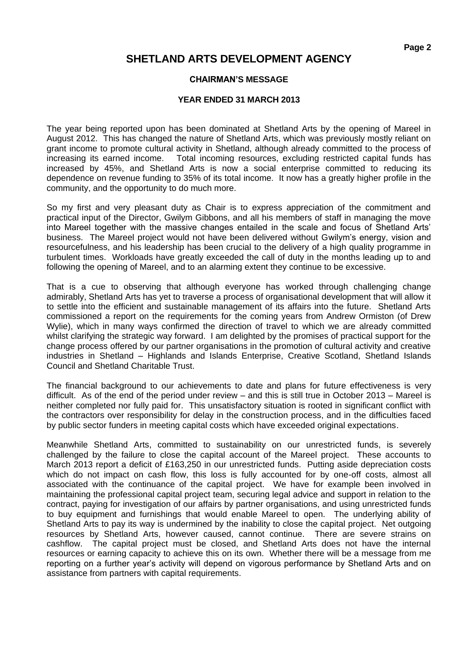### **CHAIRMAN'S MESSAGE**

### **YEAR ENDED 31 MARCH 2013**

The year being reported upon has been dominated at Shetland Arts by the opening of Mareel in August 2012. This has changed the nature of Shetland Arts, which was previously mostly reliant on grant income to promote cultural activity in Shetland, although already committed to the process of increasing its earned income. Total incoming resources, excluding restricted capital funds has increased by 45%, and Shetland Arts is now a social enterprise committed to reducing its dependence on revenue funding to 35% of its total income. It now has a greatly higher profile in the community, and the opportunity to do much more.

So my first and very pleasant duty as Chair is to express appreciation of the commitment and practical input of the Director, Gwilym Gibbons, and all his members of staff in managing the move into Mareel together with the massive changes entailed in the scale and focus of Shetland Arts' business. The Mareel project would not have been delivered without Gwilym's energy, vision and resourcefulness, and his leadership has been crucial to the delivery of a high quality programme in turbulent times. Workloads have greatly exceeded the call of duty in the months leading up to and following the opening of Mareel, and to an alarming extent they continue to be excessive.

That is a cue to observing that although everyone has worked through challenging change admirably, Shetland Arts has yet to traverse a process of organisational development that will allow it to settle into the efficient and sustainable management of its affairs into the future. Shetland Arts commissioned a report on the requirements for the coming years from Andrew Ormiston (of Drew Wylie), which in many ways confirmed the direction of travel to which we are already committed whilst clarifying the strategic way forward. I am delighted by the promises of practical support for the change process offered by our partner organisations in the promotion of cultural activity and creative industries in Shetland – Highlands and Islands Enterprise, Creative Scotland, Shetland Islands Council and Shetland Charitable Trust.

The financial background to our achievements to date and plans for future effectiveness is very difficult. As of the end of the period under review – and this is still true in October 2013 – Mareel is neither completed nor fully paid for. This unsatisfactory situation is rooted in significant conflict with the contractors over responsibility for delay in the construction process, and in the difficulties faced by public sector funders in meeting capital costs which have exceeded original expectations.

Meanwhile Shetland Arts, committed to sustainability on our unrestricted funds, is severely challenged by the failure to close the capital account of the Mareel project. These accounts to March 2013 report a deficit of £163,250 in our unrestricted funds. Putting aside depreciation costs which do not impact on cash flow, this loss is fully accounted for by one-off costs, almost all associated with the continuance of the capital project. We have for example been involved in maintaining the professional capital project team, securing legal advice and support in relation to the contract, paying for investigation of our affairs by partner organisations, and using unrestricted funds to buy equipment and furnishings that would enable Mareel to open. The underlying ability of Shetland Arts to pay its way is undermined by the inability to close the capital project. Net outgoing resources by Shetland Arts, however caused, cannot continue. There are severe strains on cashflow. The capital project must be closed, and Shetland Arts does not have the internal resources or earning capacity to achieve this on its own. Whether there will be a message from me reporting on a further year's activity will depend on vigorous performance by Shetland Arts and on assistance from partners with capital requirements.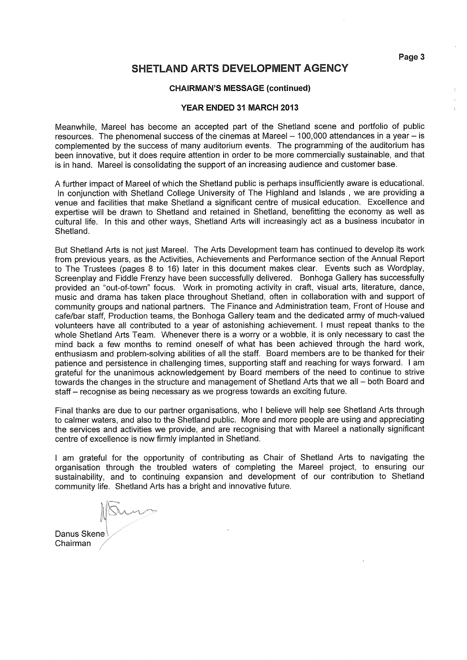Page 3

## **SHETLAND ARTS DEVELOPMENT AGENCY**

#### **CHAIRMAN'S MESSAGE (continued)**

#### YEAR ENDED 31 MARCH 2013

Meanwhile. Mareel has become an accepted part of the Shetland scene and portfolio of public resources. The phenomenal success of the cinemas at Mareel - 100,000 attendances in a year - is complemented by the success of many auditorium events. The programming of the auditorium has been innovative, but it does require attention in order to be more commercially sustainable, and that is in hand. Mareel is consolidating the support of an increasing audience and customer base.

A further impact of Mareel of which the Shetland public is perhaps insufficiently aware is educational. In conjunction with Shetland College University of The Highland and Islands, we are providing a venue and facilities that make Shetland a significant centre of musical education. Excellence and expertise will be drawn to Shetland and retained in Shetland, benefitting the economy as well as cultural life. In this and other ways, Shetland Arts will increasingly act as a business incubator in Shetland.

But Shetland Arts is not just Mareel. The Arts Development team has continued to develop its work from previous years, as the Activities, Achievements and Performance section of the Annual Report to The Trustees (pages 8 to 16) later in this document makes clear. Events such as Wordplay, Screenplay and Fiddle Frenzy have been successfully delivered. Bonhoga Gallery has successfully provided an "out-of-town" focus. Work in promoting activity in craft, visual arts, literature, dance, music and drama has taken place throughout Shetland, often in collaboration with and support of community groups and national partners. The Finance and Administration team, Front of House and cafe/bar staff, Production teams, the Bonhoga Gallery team and the dedicated army of much-valued volunteers have all contributed to a year of astonishing achievement. I must repeat thanks to the whole Shetland Arts Team. Whenever there is a worry or a wobble, it is only necessary to cast the mind back a few months to remind oneself of what has been achieved through the hard work, enthusiasm and problem-solving abilities of all the staff. Board members are to be thanked for their patience and persistence in challenging times, supporting staff and reaching for ways forward. I am grateful for the unanimous acknowledgement by Board members of the need to continue to strive towards the changes in the structure and management of Shetland Arts that we all - both Board and staff – recognise as being necessary as we progress towards an exciting future.

Final thanks are due to our partner organisations, who I believe will help see Shetland Arts through to calmer waters, and also to the Shetland public. More and more people are using and appreciating the services and activities we provide, and are recognising that with Mareel a nationally significant centre of excellence is now firmly implanted in Shetland.

I am grateful for the opportunity of contributing as Chair of Shetland Arts to navigating the organisation through the troubled waters of completing the Mareel project, to ensuring our sustainability, and to continuing expansion and development of our contribution to Shetland community life. Shetland Arts has a bright and innovative future.

Danus Skene Chairman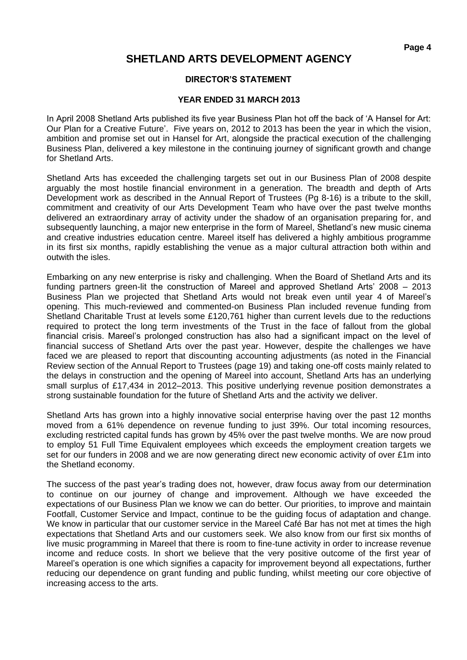### **DIRECTOR'S STATEMENT**

### **YEAR ENDED 31 MARCH 2013**

In April 2008 Shetland Arts published its five year Business Plan hot off the back of 'A Hansel for Art: Our Plan for a Creative Future'. Five years on, 2012 to 2013 has been the year in which the vision, ambition and promise set out in Hansel for Art, alongside the practical execution of the challenging Business Plan, delivered a key milestone in the continuing journey of significant growth and change for Shetland Arts.

Shetland Arts has exceeded the challenging targets set out in our Business Plan of 2008 despite arguably the most hostile financial environment in a generation. The breadth and depth of Arts Development work as described in the Annual Report of Trustees (Pg 8-16) is a tribute to the skill, commitment and creativity of our Arts Development Team who have over the past twelve months delivered an extraordinary array of activity under the shadow of an organisation preparing for, and subsequently launching, a major new enterprise in the form of Mareel, Shetland's new music cinema and creative industries education centre. Mareel itself has delivered a highly ambitious programme in its first six months, rapidly establishing the venue as a major cultural attraction both within and outwith the isles.

Embarking on any new enterprise is risky and challenging. When the Board of Shetland Arts and its funding partners green-lit the construction of Mareel and approved Shetland Arts' 2008 – 2013 Business Plan we projected that Shetland Arts would not break even until year 4 of Mareel's opening. This much-reviewed and commented-on Business Plan included revenue funding from Shetland Charitable Trust at levels some £120,761 higher than current levels due to the reductions required to protect the long term investments of the Trust in the face of fallout from the global financial crisis. Mareel's prolonged construction has also had a significant impact on the level of financial success of Shetland Arts over the past year. However, despite the challenges we have faced we are pleased to report that discounting accounting adjustments (as noted in the Financial Review section of the Annual Report to Trustees (page 19) and taking one-off costs mainly related to the delays in construction and the opening of Mareel into account, Shetland Arts has an underlying small surplus of £17,434 in 2012–2013. This positive underlying revenue position demonstrates a strong sustainable foundation for the future of Shetland Arts and the activity we deliver.

Shetland Arts has grown into a highly innovative social enterprise having over the past 12 months moved from a 61% dependence on revenue funding to just 39%. Our total incoming resources, excluding restricted capital funds has grown by 45% over the past twelve months. We are now proud to employ 51 Full Time Equivalent employees which exceeds the employment creation targets we set for our funders in 2008 and we are now generating direct new economic activity of over £1m into the Shetland economy.

The success of the past year's trading does not, however, draw focus away from our determination to continue on our journey of change and improvement. Although we have exceeded the expectations of our Business Plan we know we can do better. Our priorities, to improve and maintain Footfall, Customer Service and Impact, continue to be the guiding focus of adaptation and change. We know in particular that our customer service in the Mareel Café Bar has not met at times the high expectations that Shetland Arts and our customers seek. We also know from our first six months of live music programming in Mareel that there is room to fine-tune activity in order to increase revenue income and reduce costs. In short we believe that the very positive outcome of the first year of Mareel's operation is one which signifies a capacity for improvement beyond all expectations, further reducing our dependence on grant funding and public funding, whilst meeting our core objective of increasing access to the arts.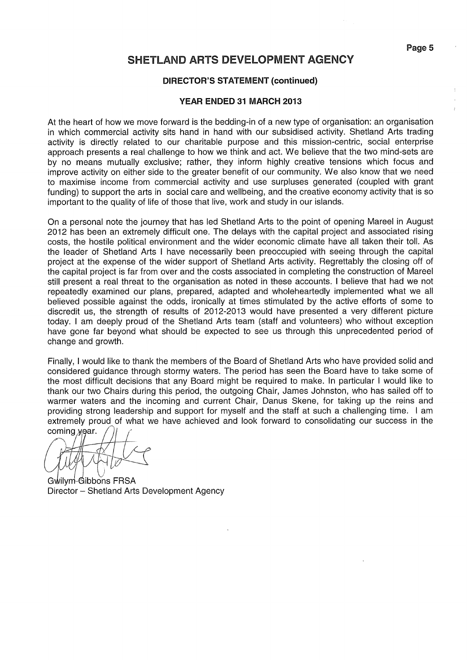### **DIRECTOR'S STATEMENT (continued)**

#### YEAR ENDED 31 MARCH 2013

At the heart of how we move forward is the bedding-in of a new type of organisation: an organisation in which commercial activity sits hand in hand with our subsidised activity. Shetland Arts trading activity is directly related to our charitable purpose and this mission-centric, social enterprise approach presents a real challenge to how we think and act. We believe that the two mind-sets are by no means mutually exclusive; rather, they inform highly creative tensions which focus and improve activity on either side to the greater benefit of our community. We also know that we need to maximise income from commercial activity and use surpluses generated (coupled with grant funding) to support the arts in social care and wellbeing, and the creative economy activity that is so important to the quality of life of those that live, work and study in our islands.

On a personal note the journey that has led Shetland Arts to the point of opening Mareel in August 2012 has been an extremely difficult one. The delays with the capital project and associated rising costs, the hostile political environment and the wider economic climate have all taken their toll. As the leader of Shetland Arts I have necessarily been preoccupied with seeing through the capital project at the expense of the wider support of Shetland Arts activity. Regrettably the closing off of the capital project is far from over and the costs associated in completing the construction of Mareel still present a real threat to the organisation as noted in these accounts. I believe that had we not repeatedly examined our plans, prepared, adapted and wholeheartedly implemented what we all believed possible against the odds, ironically at times stimulated by the active efforts of some to discredit us, the strength of results of 2012-2013 would have presented a very different picture today. I am deeply proud of the Shetland Arts team (staff and volunteers) who without exception have gone far beyond what should be expected to see us through this unprecedented period of change and growth.

Finally, I would like to thank the members of the Board of Shetland Arts who have provided solid and considered quidance through stormy waters. The period has seen the Board have to take some of the most difficult decisions that any Board might be required to make. In particular I would like to thank our two Chairs during this period, the outgoing Chair, James Johnston, who has sailed off to warmer waters and the incoming and current Chair, Danus Skene, for taking up the reins and providing strong leadership and support for myself and the staff at such a challenging time. I am extremely proud of what we have achieved and look forward to consolidating our success in the coming year.

Gwilym-Gibbons FRSA Director - Shetland Arts Development Agency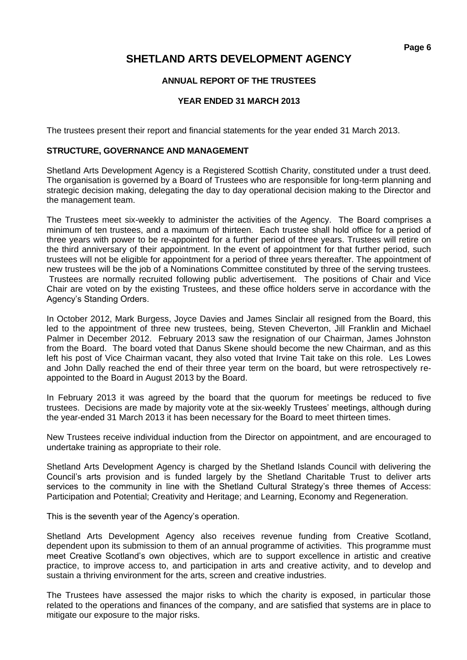### **ANNUAL REPORT OF THE TRUSTEES**

### **YEAR ENDED 31 MARCH 2013**

The trustees present their report and financial statements for the year ended 31 March 2013.

### **STRUCTURE, GOVERNANCE AND MANAGEMENT**

Shetland Arts Development Agency is a Registered Scottish Charity, constituted under a trust deed. The organisation is governed by a Board of Trustees who are responsible for long-term planning and strategic decision making, delegating the day to day operational decision making to the Director and the management team.

The Trustees meet six-weekly to administer the activities of the Agency. The Board comprises a minimum of ten trustees, and a maximum of thirteen. Each trustee shall hold office for a period of three years with power to be re-appointed for a further period of three years. Trustees will retire on the third anniversary of their appointment. In the event of appointment for that further period, such trustees will not be eligible for appointment for a period of three years thereafter. The appointment of new trustees will be the job of a Nominations Committee constituted by three of the serving trustees. Trustees are normally recruited following public advertisement. The positions of Chair and Vice Chair are voted on by the existing Trustees, and these office holders serve in accordance with the Agency's Standing Orders.

In October 2012, Mark Burgess, Joyce Davies and James Sinclair all resigned from the Board, this led to the appointment of three new trustees, being, Steven Cheverton, Jill Franklin and Michael Palmer in December 2012. February 2013 saw the resignation of our Chairman, James Johnston from the Board. The board voted that Danus Skene should become the new Chairman, and as this left his post of Vice Chairman vacant, they also voted that Irvine Tait take on this role. Les Lowes and John Dally reached the end of their three year term on the board, but were retrospectively reappointed to the Board in August 2013 by the Board.

In February 2013 it was agreed by the board that the quorum for meetings be reduced to five trustees. Decisions are made by majority vote at the six-weekly Trustees' meetings, although during the year-ended 31 March 2013 it has been necessary for the Board to meet thirteen times.

New Trustees receive individual induction from the Director on appointment, and are encouraged to undertake training as appropriate to their role.

Shetland Arts Development Agency is charged by the Shetland Islands Council with delivering the Council's arts provision and is funded largely by the Shetland Charitable Trust to deliver arts services to the community in line with the Shetland Cultural Strategy's three themes of Access: Participation and Potential; Creativity and Heritage; and Learning, Economy and Regeneration.

This is the seventh year of the Agency's operation.

Shetland Arts Development Agency also receives revenue funding from Creative Scotland, dependent upon its submission to them of an annual programme of activities. This programme must meet Creative Scotland's own objectives, which are to support excellence in artistic and creative practice, to improve access to, and participation in arts and creative activity, and to develop and sustain a thriving environment for the arts, screen and creative industries.

The Trustees have assessed the major risks to which the charity is exposed, in particular those related to the operations and finances of the company, and are satisfied that systems are in place to mitigate our exposure to the major risks.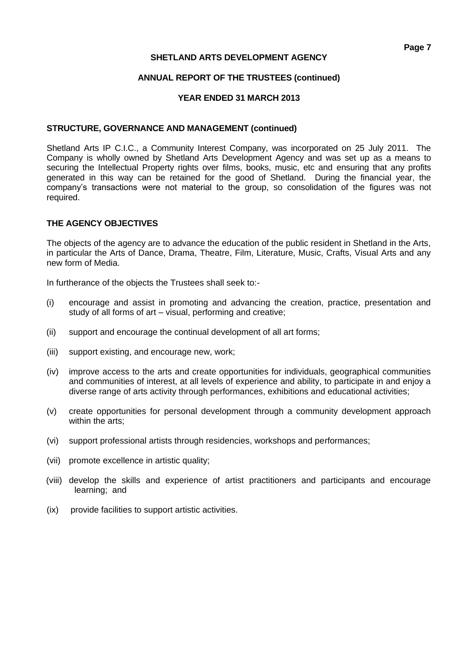### **ANNUAL REPORT OF THE TRUSTEES (continued)**

### **YEAR ENDED 31 MARCH 2013**

### **STRUCTURE, GOVERNANCE AND MANAGEMENT (continued)**

Shetland Arts IP C.I.C., a Community Interest Company, was incorporated on 25 July 2011. The Company is wholly owned by Shetland Arts Development Agency and was set up as a means to securing the Intellectual Property rights over films, books, music, etc and ensuring that any profits generated in this way can be retained for the good of Shetland. During the financial year, the company's transactions were not material to the group, so consolidation of the figures was not required.

### **THE AGENCY OBJECTIVES**

The objects of the agency are to advance the education of the public resident in Shetland in the Arts, in particular the Arts of Dance, Drama, Theatre, Film, Literature, Music, Crafts, Visual Arts and any new form of Media.

In furtherance of the objects the Trustees shall seek to:-

- (i) encourage and assist in promoting and advancing the creation, practice, presentation and study of all forms of art – visual, performing and creative;
- (ii) support and encourage the continual development of all art forms;
- (iii) support existing, and encourage new, work;
- (iv) improve access to the arts and create opportunities for individuals, geographical communities and communities of interest, at all levels of experience and ability, to participate in and enjoy a diverse range of arts activity through performances, exhibitions and educational activities;
- (v) create opportunities for personal development through a community development approach within the arts;
- (vi) support professional artists through residencies, workshops and performances;
- (vii) promote excellence in artistic quality;
- (viii) develop the skills and experience of artist practitioners and participants and encourage learning; and
- (ix) provide facilities to support artistic activities.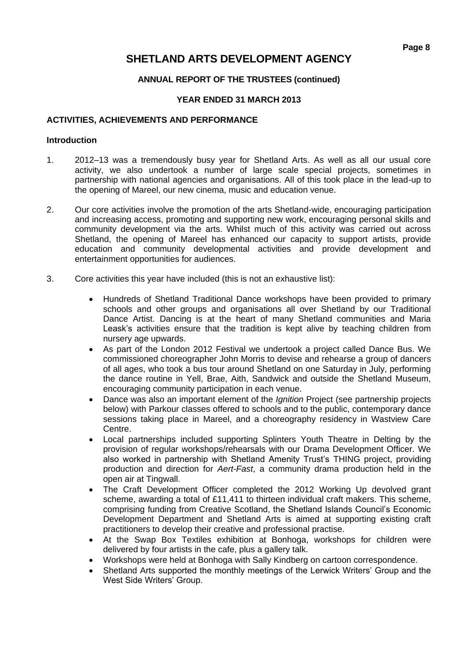### **ANNUAL REPORT OF THE TRUSTEES (continued)**

### **YEAR ENDED 31 MARCH 2013**

### **ACTIVITIES, ACHIEVEMENTS AND PERFORMANCE**

### **Introduction**

- 1. 2012–13 was a tremendously busy year for Shetland Arts. As well as all our usual core activity, we also undertook a number of large scale special projects, sometimes in partnership with national agencies and organisations. All of this took place in the lead-up to the opening of Mareel, our new cinema, music and education venue.
- 2. Our core activities involve the promotion of the arts Shetland-wide, encouraging participation and increasing access, promoting and supporting new work, encouraging personal skills and community development via the arts. Whilst much of this activity was carried out across Shetland, the opening of Mareel has enhanced our capacity to support artists, provide education and community developmental activities and provide development and entertainment opportunities for audiences.
- 3. Core activities this year have included (this is not an exhaustive list):
	- Hundreds of Shetland Traditional Dance workshops have been provided to primary schools and other groups and organisations all over Shetland by our Traditional Dance Artist. Dancing is at the heart of many Shetland communities and Maria Leask's activities ensure that the tradition is kept alive by teaching children from nursery age upwards.
	- As part of the London 2012 Festival we undertook a project called Dance Bus. We commissioned choreographer John Morris to devise and rehearse a group of dancers of all ages, who took a bus tour around Shetland on one Saturday in July, performing the dance routine in Yell, Brae, Aith, Sandwick and outside the Shetland Museum, encouraging community participation in each venue.
	- Dance was also an important element of the *Ignition* Project (see partnership projects below) with Parkour classes offered to schools and to the public, contemporary dance sessions taking place in Mareel, and a choreography residency in Wastview Care Centre.
	- Local partnerships included supporting Splinters Youth Theatre in Delting by the provision of regular workshops/rehearsals with our Drama Development Officer. We also worked in partnership with Shetland Amenity Trust's THING project, providing production and direction for *Aert-Fast*, a community drama production held in the open air at Tingwall.
	- The Craft Development Officer completed the 2012 Working Up devolved grant scheme, awarding a total of £11,411 to thirteen individual craft makers. This scheme, comprising funding from Creative Scotland, the Shetland Islands Council's Economic Development Department and Shetland Arts is aimed at supporting existing craft practitioners to develop their creative and professional practise.
	- At the Swap Box Textiles exhibition at Bonhoga, workshops for children were delivered by four artists in the cafe, plus a gallery talk.
	- Workshops were held at Bonhoga with Sally Kindberg on cartoon correspondence.
	- Shetland Arts supported the monthly meetings of the Lerwick Writers' Group and the West Side Writers' Group.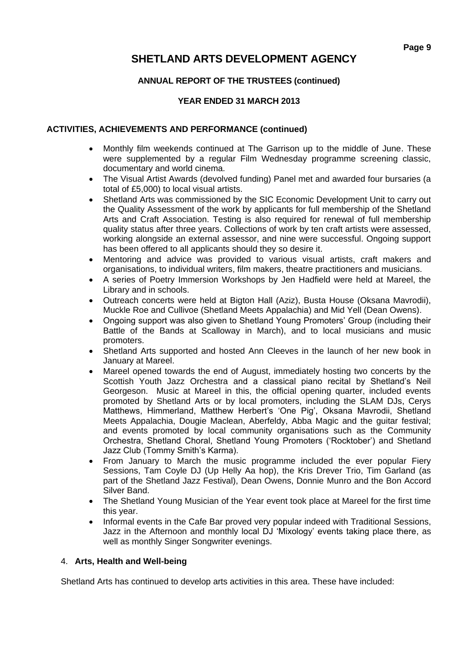### **ANNUAL REPORT OF THE TRUSTEES (continued)**

### **YEAR ENDED 31 MARCH 2013**

### **ACTIVITIES, ACHIEVEMENTS AND PERFORMANCE (continued)**

- Monthly film weekends continued at The Garrison up to the middle of June. These were supplemented by a regular Film Wednesday programme screening classic, documentary and world cinema.
- The Visual Artist Awards (devolved funding) Panel met and awarded four bursaries (a total of £5,000) to local visual artists.
- Shetland Arts was commissioned by the SIC Economic Development Unit to carry out the Quality Assessment of the work by applicants for full membership of the Shetland Arts and Craft Association. Testing is also required for renewal of full membership quality status after three years. Collections of work by ten craft artists were assessed, working alongside an external assessor, and nine were successful. Ongoing support has been offered to all applicants should they so desire it.
- Mentoring and advice was provided to various visual artists, craft makers and organisations, to individual writers, film makers, theatre practitioners and musicians.
- A series of Poetry Immersion Workshops by Jen Hadfield were held at Mareel, the Library and in schools.
- Outreach concerts were held at Bigton Hall (Aziz), Busta House (Oksana Mavrodii), Muckle Roe and Cullivoe (Shetland Meets Appalachia) and Mid Yell (Dean Owens).
- Ongoing support was also given to Shetland Young Promoters' Group (including their Battle of the Bands at Scalloway in March), and to local musicians and music promoters.
- Shetland Arts supported and hosted Ann Cleeves in the launch of her new book in January at Mareel.
- Mareel opened towards the end of August, immediately hosting two concerts by the Scottish Youth Jazz Orchestra and a classical piano recital by Shetland's Neil Georgeson. Music at Mareel in this, the official opening quarter, included events promoted by Shetland Arts or by local promoters, including the SLAM DJs, Cerys Matthews, Himmerland, Matthew Herbert's 'One Pig', Oksana Mavrodii, Shetland Meets Appalachia, Dougie Maclean, Aberfeldy, Abba Magic and the guitar festival; and events promoted by local community organisations such as the Community Orchestra, Shetland Choral, Shetland Young Promoters ('Rocktober') and Shetland Jazz Club (Tommy Smith's Karma).
- From January to March the music programme included the ever popular Fiery Sessions, Tam Coyle DJ (Up Helly Aa hop), the Kris Drever Trio, Tim Garland (as part of the Shetland Jazz Festival), Dean Owens, Donnie Munro and the Bon Accord Silver Band.
- The Shetland Young Musician of the Year event took place at Mareel for the first time this year.
- Informal events in the Cafe Bar proved very popular indeed with Traditional Sessions, Jazz in the Afternoon and monthly local DJ 'Mixology' events taking place there, as well as monthly Singer Songwriter evenings.

### 4. **Arts, Health and Well-being**

Shetland Arts has continued to develop arts activities in this area. These have included: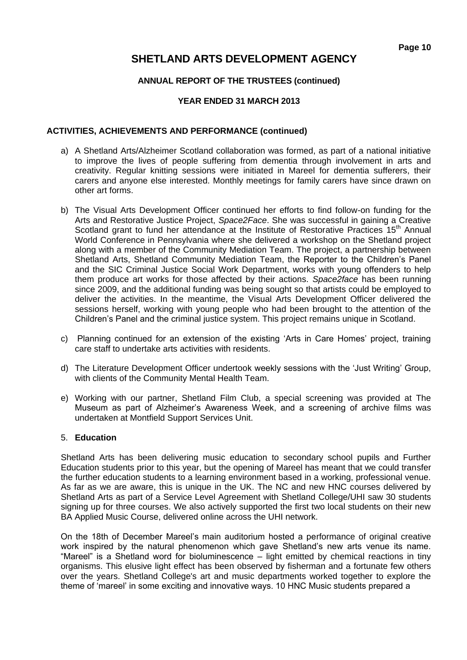### **ANNUAL REPORT OF THE TRUSTEES (continued)**

### **YEAR ENDED 31 MARCH 2013**

### **ACTIVITIES, ACHIEVEMENTS AND PERFORMANCE (continued)**

- a) A Shetland Arts/Alzheimer Scotland collaboration was formed, as part of a national initiative to improve the lives of people suffering from dementia through involvement in arts and creativity. Regular knitting sessions were initiated in Mareel for dementia sufferers, their carers and anyone else interested. Monthly meetings for family carers have since drawn on other art forms.
- b) The Visual Arts Development Officer continued her efforts to find follow-on funding for the Arts and Restorative Justice Project, *Space2Face*. She was successful in gaining a Creative Scotland grant to fund her attendance at the Institute of Restorative Practices 15<sup>th</sup> Annual World Conference in Pennsylvania where she delivered a workshop on the Shetland project along with a member of the Community Mediation Team. The project, a partnership between Shetland Arts, Shetland Community Mediation Team, the Reporter to the Children's Panel and the SIC Criminal Justice Social Work Department, works with young offenders to help them produce art works for those affected by their actions. *Space2face* has been running since 2009, and the additional funding was being sought so that artists could be employed to deliver the activities. In the meantime, the Visual Arts Development Officer delivered the sessions herself, working with young people who had been brought to the attention of the Children's Panel and the criminal justice system. This project remains unique in Scotland.
- c) Planning continued for an extension of the existing 'Arts in Care Homes' project, training care staff to undertake arts activities with residents.
- d) The Literature Development Officer undertook weekly sessions with the 'Just Writing' Group, with clients of the Community Mental Health Team.
- e) Working with our partner, Shetland Film Club, a special screening was provided at The Museum as part of Alzheimer's Awareness Week, and a screening of archive films was undertaken at Montfield Support Services Unit.

### 5. **Education**

Shetland Arts has been delivering music education to secondary school pupils and Further Education students prior to this year, but the opening of Mareel has meant that we could transfer the further education students to a learning environment based in a working, professional venue. As far as we are aware, this is unique in the UK. The NC and new HNC courses delivered by Shetland Arts as part of a Service Level Agreement with Shetland College/UHI saw 30 students signing up for three courses. We also actively supported the first two local students on their new BA Applied Music Course, delivered online across the UHI network.

On the 18th of December Mareel's main auditorium hosted a performance of original creative work inspired by the natural phenomenon which gave Shetland's new arts venue its name. "Mareel" is a Shetland word for bioluminescence – light emitted by chemical reactions in tiny organisms. This elusive light effect has been observed by fisherman and a fortunate few others over the years. Shetland College's art and music departments worked together to explore the theme of 'mareel' in some exciting and innovative ways. 10 HNC Music students prepared a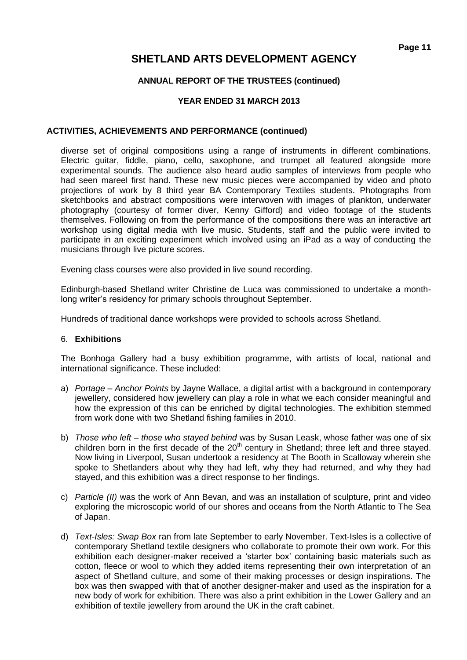### **ANNUAL REPORT OF THE TRUSTEES (continued)**

### **YEAR ENDED 31 MARCH 2013**

### **ACTIVITIES, ACHIEVEMENTS AND PERFORMANCE (continued)**

diverse set of original compositions using a range of instruments in different combinations. Electric guitar, fiddle, piano, cello, saxophone, and trumpet all featured alongside more experimental sounds. The audience also heard audio samples of interviews from people who had seen mareel first hand. These new music pieces were accompanied by video and photo projections of work by 8 third year BA Contemporary Textiles students. Photographs from sketchbooks and abstract compositions were interwoven with images of plankton, underwater photography (courtesy of former diver, Kenny Gifford) and video footage of the students themselves. Following on from the performance of the compositions there was an interactive art workshop using digital media with live music. Students, staff and the public were invited to participate in an exciting experiment which involved using an iPad as a way of conducting the musicians through live picture scores.

Evening class courses were also provided in live sound recording.

Edinburgh-based Shetland writer Christine de Luca was commissioned to undertake a monthlong writer's residency for primary schools throughout September.

Hundreds of traditional dance workshops were provided to schools across Shetland.

### 6. **Exhibitions**

The Bonhoga Gallery had a busy exhibition programme, with artists of local, national and international significance. These included:

- a) *Portage – Anchor Points* by Jayne Wallace, a digital artist with a background in contemporary jewellery, considered how jewellery can play a role in what we each consider meaningful and how the expression of this can be enriched by digital technologies. The exhibition stemmed from work done with two Shetland fishing families in 2010.
- b) *Those who left – those who stayed behind* was by Susan Leask, whose father was one of six children born in the first decade of the 20<sup>th</sup> century in Shetland; three left and three stayed. Now living in Liverpool, Susan undertook a residency at The Booth in Scalloway wherein she spoke to Shetlanders about why they had left, why they had returned, and why they had stayed, and this exhibition was a direct response to her findings.
- c) *Particle (II)* was the work of Ann Bevan, and was an installation of sculpture, print and video exploring the microscopic world of our shores and oceans from the North Atlantic to The Sea of Japan.
- d) *Text-Isles: Swap Box* ran from late September to early November. Text-Isles is a collective of contemporary Shetland textile designers who collaborate to promote their own work. For this exhibition each designer-maker received a 'starter box' containing basic materials such as cotton, fleece or wool to which they added items representing their own interpretation of an aspect of Shetland culture, and some of their making processes or design inspirations. The box was then swapped with that of another designer-maker and used as the inspiration for a new body of work for exhibition. There was also a print exhibition in the Lower Gallery and an exhibition of textile jewellery from around the UK in the craft cabinet.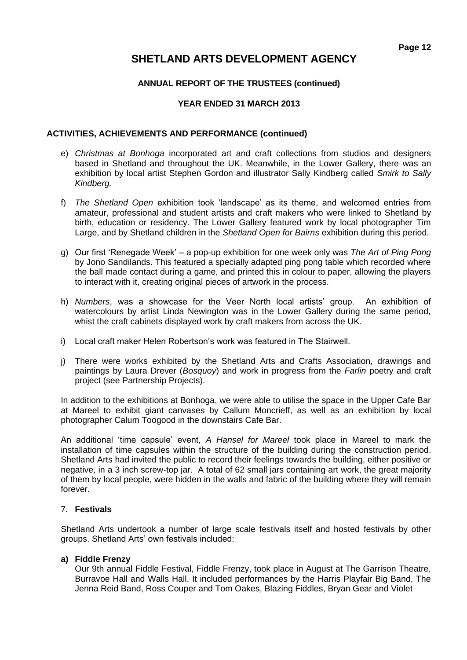### **ANNUAL REPORT OF THE TRUSTEES (continued)**

### **YEAR ENDED 31 MARCH 2013**

### **ACTIVITIES, ACHIEVEMENTS AND PERFORMANCE (continued)**

- e) *Christmas at Bonhoga* incorporated art and craft collections from studios and designers based in Shetland and throughout the UK. Meanwhile, in the Lower Gallery, there was an exhibition by local artist Stephen Gordon and illustrator Sally Kindberg called *Smirk to Sally Kindberg.*
- f) *The Shetland Open* exhibition took 'landscape' as its theme, and welcomed entries from amateur, professional and student artists and craft makers who were linked to Shetland by birth, education or residency. The Lower Gallery featured work by local photographer Tim Large, and by Shetland children in the *Shetland Open for Bairns* exhibition during this period.
- g) Our first 'Renegade Week' a pop-up exhibition for one week only was *The Art of Ping Pong*  by Jono Sandilands. This featured a specially adapted ping pong table which recorded where the ball made contact during a game, and printed this in colour to paper, allowing the players to interact with it, creating original pieces of artwork in the process.
- h) *Numbers*, was a showcase for the Veer North local artists' group. An exhibition of watercolours by artist Linda Newington was in the Lower Gallery during the same period, whist the craft cabinets displayed work by craft makers from across the UK.
- i) Local craft maker Helen Robertson's work was featured in The Stairwell.
- j) There were works exhibited by the Shetland Arts and Crafts Association, drawings and paintings by Laura Drever (*Bosquoy*) and work in progress from the *Farlin* poetry and craft project (see Partnership Projects).

In addition to the exhibitions at Bonhoga, we were able to utilise the space in the Upper Cafe Bar at Mareel to exhibit giant canvases by Callum Moncrieff, as well as an exhibition by local photographer Calum Toogood in the downstairs Cafe Bar.

An additional 'time capsule' event, *A Hansel for Mareel* took place in Mareel to mark the installation of time capsules within the structure of the building during the construction period. Shetland Arts had invited the public to record their feelings towards the building, either positive or negative, in a 3 inch screw-top jar. A total of 62 small jars containing art work, the great majority of them by local people, were hidden in the walls and fabric of the building where they will remain forever.

### 7. **Festivals**

Shetland Arts undertook a number of large scale festivals itself and hosted festivals by other groups. Shetland Arts' own festivals included:

### **a) Fiddle Frenzy**

Our 9th annual Fiddle Festival, Fiddle Frenzy, took place in August at The Garrison Theatre, Burravoe Hall and Walls Hall. It included performances by the Harris Playfair Big Band, The Jenna Reid Band, Ross Couper and Tom Oakes, Blazing Fiddles, Bryan Gear and Violet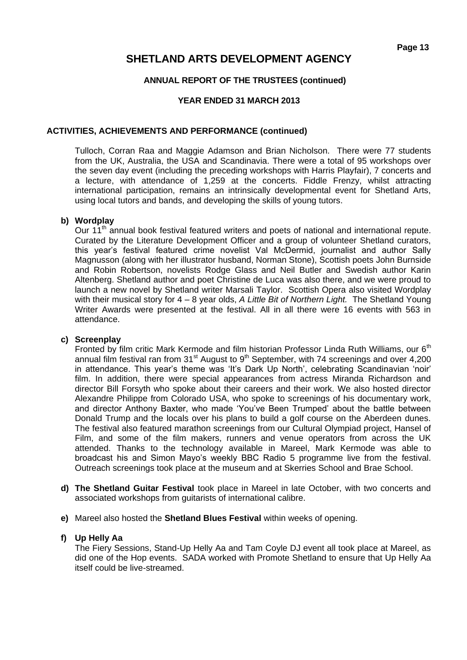### **ANNUAL REPORT OF THE TRUSTEES (continued)**

### **YEAR ENDED 31 MARCH 2013**

### **ACTIVITIES, ACHIEVEMENTS AND PERFORMANCE (continued)**

Tulloch, Corran Raa and Maggie Adamson and Brian Nicholson. There were 77 students from the UK, Australia, the USA and Scandinavia. There were a total of 95 workshops over the seven day event (including the preceding workshops with Harris Playfair), 7 concerts and a lecture, with attendance of 1,259 at the concerts. Fiddle Frenzy, whilst attracting international participation, remains an intrinsically developmental event for Shetland Arts, using local tutors and bands, and developing the skills of young tutors.

### **b) Wordplay**

Our 11<sup>th</sup> annual book festival featured writers and poets of national and international repute. Curated by the Literature Development Officer and a group of volunteer Shetland curators, this year's festival featured crime novelist Val McDermid, journalist and author Sally Magnusson (along with her illustrator husband, Norman Stone), Scottish poets John Burnside and Robin Robertson, novelists Rodge Glass and Neil Butler and Swedish author Karin Altenberg. Shetland author and poet Christine de Luca was also there, and we were proud to launch a new novel by Shetland writer Marsali Taylor. Scottish Opera also visited Wordplay with their musical story for 4 – 8 year olds, *A Little Bit of Northern Light.* The Shetland Young Writer Awards were presented at the festival. All in all there were 16 events with 563 in attendance.

### **c) Screenplay**

Fronted by film critic Mark Kermode and film historian Professor Linda Ruth Williams, our 6<sup>th</sup> annual film festival ran from  $31<sup>st</sup>$  August to  $9<sup>th</sup>$  September, with 74 screenings and over 4,200 in attendance. This year's theme was 'It's Dark Up North', celebrating Scandinavian 'noir' film. In addition, there were special appearances from actress Miranda Richardson and director Bill Forsyth who spoke about their careers and their work. We also hosted director Alexandre Philippe from Colorado USA, who spoke to screenings of his documentary work, and director Anthony Baxter, who made 'You've Been Trumped' about the battle between Donald Trump and the locals over his plans to build a golf course on the Aberdeen dunes. The festival also featured marathon screenings from our Cultural Olympiad project, Hansel of Film, and some of the film makers, runners and venue operators from across the UK attended. Thanks to the technology available in Mareel, Mark Kermode was able to broadcast his and Simon Mayo's weekly BBC Radio 5 programme live from the festival. Outreach screenings took place at the museum and at Skerries School and Brae School.

- **d) The Shetland Guitar Festival** took place in Mareel in late October, with two concerts and associated workshops from guitarists of international calibre.
- **e)** Mareel also hosted the **Shetland Blues Festival** within weeks of opening.

### **f) Up Helly Aa**

The Fiery Sessions, Stand-Up Helly Aa and Tam Coyle DJ event all took place at Mareel, as did one of the Hop events. SADA worked with Promote Shetland to ensure that Up Helly Aa itself could be live-streamed.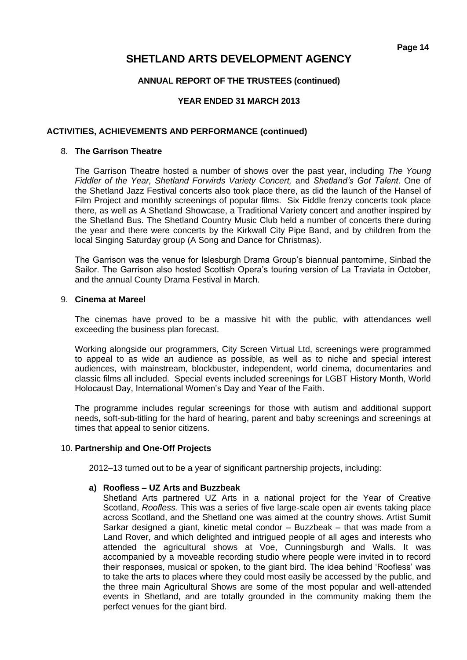### **ANNUAL REPORT OF THE TRUSTEES (continued)**

### **YEAR ENDED 31 MARCH 2013**

### **ACTIVITIES, ACHIEVEMENTS AND PERFORMANCE (continued)**

### 8. **The Garrison Theatre**

The Garrison Theatre hosted a number of shows over the past year, including *The Young Fiddler of the Year, Shetland Forwirds Variety Concert,* and *Shetland's Got Talent*. One of the Shetland Jazz Festival concerts also took place there, as did the launch of the Hansel of Film Project and monthly screenings of popular films. Six Fiddle frenzy concerts took place there, as well as A Shetland Showcase, a Traditional Variety concert and another inspired by the Shetland Bus. The Shetland Country Music Club held a number of concerts there during the year and there were concerts by the Kirkwall City Pipe Band, and by children from the local Singing Saturday group (A Song and Dance for Christmas).

The Garrison was the venue for Islesburgh Drama Group's biannual pantomime, Sinbad the Sailor. The Garrison also hosted Scottish Opera's touring version of La Traviata in October, and the annual County Drama Festival in March.

### 9. **Cinema at Mareel**

The cinemas have proved to be a massive hit with the public, with attendances well exceeding the business plan forecast.

Working alongside our programmers, City Screen Virtual Ltd, screenings were programmed to appeal to as wide an audience as possible, as well as to niche and special interest audiences, with mainstream, blockbuster, independent, world cinema, documentaries and classic films all included. Special events included screenings for LGBT History Month, World Holocaust Day, International Women's Day and Year of the Faith.

The programme includes regular screenings for those with autism and additional support needs, soft-sub-titling for the hard of hearing, parent and baby screenings and screenings at times that appeal to senior citizens.

### 10. **Partnership and One-Off Projects**

2012–13 turned out to be a year of significant partnership projects, including:

### **a) Roofless – UZ Arts and Buzzbeak**

Shetland Arts partnered UZ Arts in a national project for the Year of Creative Scotland, *Roofless.* This was a series of five large-scale open air events taking place across Scotland, and the Shetland one was aimed at the country shows. Artist Sumit Sarkar designed a giant, kinetic metal condor – Buzzbeak – that was made from a Land Rover, and which delighted and intrigued people of all ages and interests who attended the agricultural shows at Voe, Cunningsburgh and Walls. It was accompanied by a moveable recording studio where people were invited in to record their responses, musical or spoken, to the giant bird. The idea behind 'Roofless' was to take the arts to places where they could most easily be accessed by the public, and the three main Agricultural Shows are some of the most popular and well-attended events in Shetland, and are totally grounded in the community making them the perfect venues for the giant bird.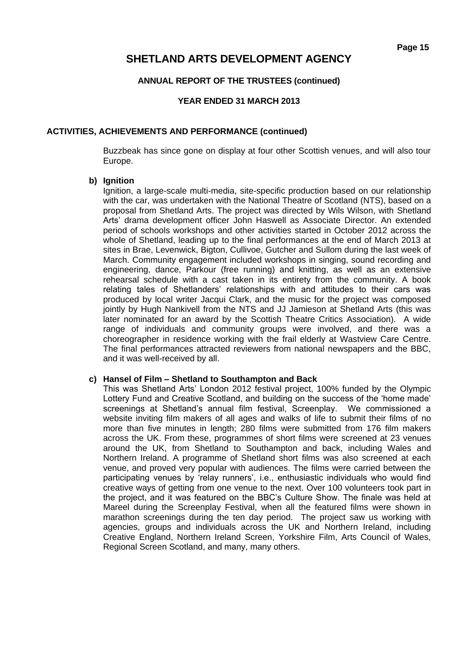### **ANNUAL REPORT OF THE TRUSTEES (continued)**

### **YEAR ENDED 31 MARCH 2013**

### **ACTIVITIES, ACHIEVEMENTS AND PERFORMANCE (continued)**

Buzzbeak has since gone on display at four other Scottish venues, and will also tour Europe.

### **b) Ignition**

Ignition, a large-scale multi-media, site-specific production based on our relationship with the car, was undertaken with the National Theatre of Scotland (NTS), based on a proposal from Shetland Arts. The project was directed by Wils Wilson, with Shetland Arts' drama development officer John Haswell as Associate Director. An extended period of schools workshops and other activities started in October 2012 across the whole of Shetland, leading up to the final performances at the end of March 2013 at sites in Brae, Levenwick, Bigton, Cullivoe, Gutcher and Sullom during the last week of March. Community engagement included workshops in singing, sound recording and engineering, dance, Parkour (free running) and knitting, as well as an extensive rehearsal schedule with a cast taken in its entirety from the community. A book relating tales of Shetlanders' relationships with and attitudes to their cars was produced by local writer Jacqui Clark, and the music for the project was composed jointly by Hugh Nankivell from the NTS and JJ Jamieson at Shetland Arts (this was later nominated for an award by the Scottish Theatre Critics Association). A wide range of individuals and community groups were involved, and there was a choreographer in residence working with the frail elderly at Wastview Care Centre. The final performances attracted reviewers from national newspapers and the BBC, and it was well-received by all.

### **c) Hansel of Film – Shetland to Southampton and Back**

This was Shetland Arts' London 2012 festival project, 100% funded by the Olympic Lottery Fund and Creative Scotland, and building on the success of the 'home made' screenings at Shetland's annual film festival, Screenplay. We commissioned a website inviting film makers of all ages and walks of life to submit their films of no more than five minutes in length; 280 films were submitted from 176 film makers across the UK. From these, programmes of short films were screened at 23 venues around the UK, from Shetland to Southampton and back, including Wales and Northern Ireland. A programme of Shetland short films was also screened at each venue, and proved very popular with audiences. The films were carried between the participating venues by 'relay runners', i.e., enthusiastic individuals who would find creative ways of getting from one venue to the next. Over 100 volunteers took part in the project, and it was featured on the BBC's Culture Show. The finale was held at Mareel during the Screenplay Festival, when all the featured films were shown in marathon screenings during the ten day period. The project saw us working with agencies, groups and individuals across the UK and Northern Ireland, including Creative England, Northern Ireland Screen, Yorkshire Film, Arts Council of Wales, Regional Screen Scotland, and many, many others.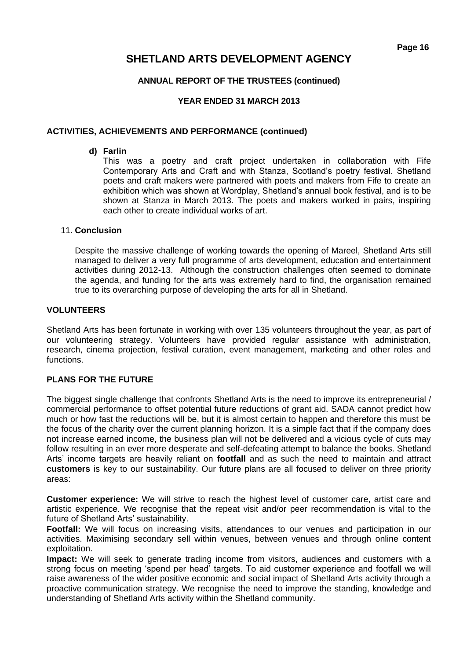### **ANNUAL REPORT OF THE TRUSTEES (continued)**

### **YEAR ENDED 31 MARCH 2013**

### **ACTIVITIES, ACHIEVEMENTS AND PERFORMANCE (continued)**

### **d) Farlin**

This was a poetry and craft project undertaken in collaboration with Fife Contemporary Arts and Craft and with Stanza, Scotland's poetry festival. Shetland poets and craft makers were partnered with poets and makers from Fife to create an exhibition which was shown at Wordplay, Shetland's annual book festival, and is to be shown at Stanza in March 2013. The poets and makers worked in pairs, inspiring each other to create individual works of art.

### 11. **Conclusion**

Despite the massive challenge of working towards the opening of Mareel, Shetland Arts still managed to deliver a very full programme of arts development, education and entertainment activities during 2012-13. Although the construction challenges often seemed to dominate the agenda, and funding for the arts was extremely hard to find, the organisation remained true to its overarching purpose of developing the arts for all in Shetland.

### **VOLUNTEERS**

Shetland Arts has been fortunate in working with over 135 volunteers throughout the year, as part of our volunteering strategy. Volunteers have provided regular assistance with administration, research, cinema projection, festival curation, event management, marketing and other roles and functions.

### **PLANS FOR THE FUTURE**

The biggest single challenge that confronts Shetland Arts is the need to improve its entrepreneurial / commercial performance to offset potential future reductions of grant aid. SADA cannot predict how much or how fast the reductions will be, but it is almost certain to happen and therefore this must be the focus of the charity over the current planning horizon. It is a simple fact that if the company does not increase earned income, the business plan will not be delivered and a vicious cycle of cuts may follow resulting in an ever more desperate and self-defeating attempt to balance the books. Shetland Arts' income targets are heavily reliant on **footfall** and as such the need to maintain and attract **customers** is key to our sustainability. Our future plans are all focused to deliver on three priority areas:

**Customer experience:** We will strive to reach the highest level of customer care, artist care and artistic experience. We recognise that the repeat visit and/or peer recommendation is vital to the future of Shetland Arts' sustainability.

**Footfall:** We will focus on increasing visits, attendances to our venues and participation in our activities. Maximising secondary sell within venues, between venues and through online content exploitation.

**Impact:** We will seek to generate trading income from visitors, audiences and customers with a strong focus on meeting 'spend per head' targets. To aid customer experience and footfall we will raise awareness of the wider positive economic and social impact of Shetland Arts activity through a proactive communication strategy. We recognise the need to improve the standing, knowledge and understanding of Shetland Arts activity within the Shetland community.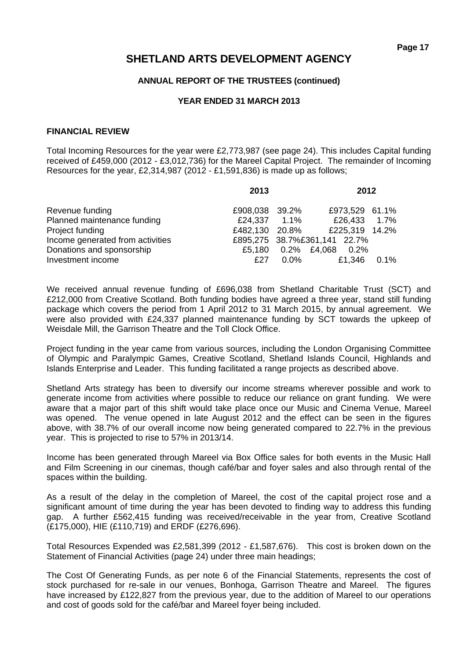### **ANNUAL REPORT OF THE TRUSTEES (continued)**

### **YEAR ENDED 31 MARCH 2013**

### **FINANCIAL REVIEW**

Total Incoming Resources for the year were £2,773,987 (see page 24). This includes Capital funding received of £459,000 (2012 - £3,012,736) for the Mareel Capital Project. The remainder of Incoming Resources for the year, £2,314,987 (2012 - £1,591,836) is made up as follows;

|                                  | 2013           |         | 2012                         |      |
|----------------------------------|----------------|---------|------------------------------|------|
| Revenue funding                  | £908,038 39.2% |         | £973,529 61.1%               |      |
| Planned maintenance funding      | £24,337 1.1%   |         | £26,433 1.7%                 |      |
| Project funding                  | £482,130 20.8% |         | £225,319 14.2%               |      |
| Income generated from activities |                |         | £895,275 38.7%£361,141 22.7% |      |
| Donations and sponsorship        |                |         | £5,180 0.2% £4,068 0.2%      |      |
| Investment income                | £27            | $0.0\%$ | £1,346                       | 0.1% |

We received annual revenue funding of £696,038 from Shetland Charitable Trust (SCT) and £212,000 from Creative Scotland. Both funding bodies have agreed a three year, stand still funding package which covers the period from 1 April 2012 to 31 March 2015, by annual agreement. We were also provided with £24,337 planned maintenance funding by SCT towards the upkeep of Weisdale Mill, the Garrison Theatre and the Toll Clock Office.

Project funding in the year came from various sources, including the London Organising Committee of Olympic and Paralympic Games, Creative Scotland, Shetland Islands Council, Highlands and Islands Enterprise and Leader. This funding facilitated a range projects as described above.

Shetland Arts strategy has been to diversify our income streams wherever possible and work to generate income from activities where possible to reduce our reliance on grant funding. We were aware that a major part of this shift would take place once our Music and Cinema Venue, Mareel was opened. The venue opened in late August 2012 and the effect can be seen in the figures above, with 38.7% of our overall income now being generated compared to 22.7% in the previous year. This is projected to rise to 57% in 2013/14.

Income has been generated through Mareel via Box Office sales for both events in the Music Hall and Film Screening in our cinemas, though café/bar and foyer sales and also through rental of the spaces within the building.

As a result of the delay in the completion of Mareel, the cost of the capital project rose and a significant amount of time during the year has been devoted to finding way to address this funding gap. A further £562,415 funding was received/receivable in the year from, Creative Scotland (£175,000), HIE (£110,719) and ERDF (£276,696).

Total Resources Expended was £2,581,399 (2012 - £1,587,676). This cost is broken down on the Statement of Financial Activities (page 24) under three main headings;

The Cost Of Generating Funds, as per note 6 of the Financial Statements, represents the cost of stock purchased for re-sale in our venues, Bonhoga, Garrison Theatre and Mareel. The figures have increased by £122,827 from the previous year, due to the addition of Mareel to our operations and cost of goods sold for the café/bar and Mareel foyer being included.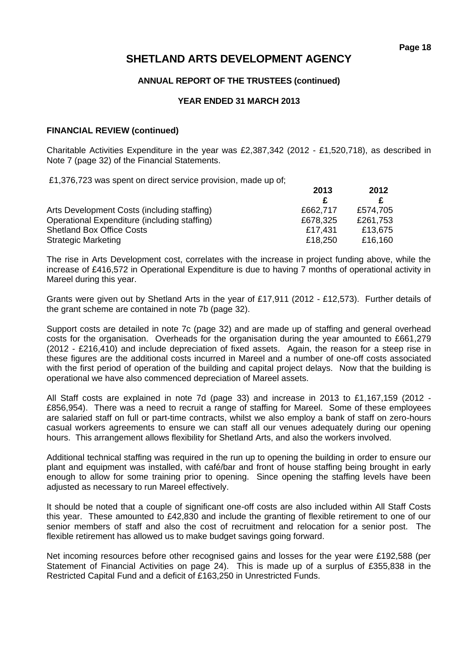### **ANNUAL REPORT OF THE TRUSTEES (continued)**

### **YEAR ENDED 31 MARCH 2013**

### **FINANCIAL REVIEW (continued)**

Charitable Activities Expenditure in the year was £2,387,342 (2012 - £1,520,718), as described in Note 7 (page 32) of the Financial Statements.

£1,376,723 was spent on direct service provision, made up of;

|                                              | 2013     | 2012     |  |
|----------------------------------------------|----------|----------|--|
|                                              |          |          |  |
| Arts Development Costs (including staffing)  | £662,717 | £574.705 |  |
| Operational Expenditure (including staffing) | £678,325 | £261,753 |  |
| <b>Shetland Box Office Costs</b>             | £17.431  | £13.675  |  |
| <b>Strategic Marketing</b>                   | £18,250  | £16,160  |  |

The rise in Arts Development cost, correlates with the increase in project funding above, while the increase of £416,572 in Operational Expenditure is due to having 7 months of operational activity in Mareel during this year.

Grants were given out by Shetland Arts in the year of £17,911 (2012 - £12,573). Further details of the grant scheme are contained in note 7b (page 32).

Support costs are detailed in note 7c (page 32) and are made up of staffing and general overhead costs for the organisation. Overheads for the organisation during the year amounted to £661,279 (2012 - £216,410) and include depreciation of fixed assets. Again, the reason for a steep rise in these figures are the additional costs incurred in Mareel and a number of one-off costs associated with the first period of operation of the building and capital project delays. Now that the building is operational we have also commenced depreciation of Mareel assets.

All Staff costs are explained in note 7d (page 33) and increase in 2013 to £1,167,159 (2012 - £856,954). There was a need to recruit a range of staffing for Mareel. Some of these employees are salaried staff on full or part-time contracts, whilst we also employ a bank of staff on zero-hours casual workers agreements to ensure we can staff all our venues adequately during our opening hours. This arrangement allows flexibility for Shetland Arts, and also the workers involved.

Additional technical staffing was required in the run up to opening the building in order to ensure our plant and equipment was installed, with café/bar and front of house staffing being brought in early enough to allow for some training prior to opening. Since opening the staffing levels have been adjusted as necessary to run Mareel effectively.

It should be noted that a couple of significant one-off costs are also included within All Staff Costs this year. These amounted to £42,830 and include the granting of flexible retirement to one of our senior members of staff and also the cost of recruitment and relocation for a senior post. The flexible retirement has allowed us to make budget savings going forward.

Net incoming resources before other recognised gains and losses for the year were £192,588 (per Statement of Financial Activities on page 24). This is made up of a surplus of £355,838 in the Restricted Capital Fund and a deficit of £163,250 in Unrestricted Funds.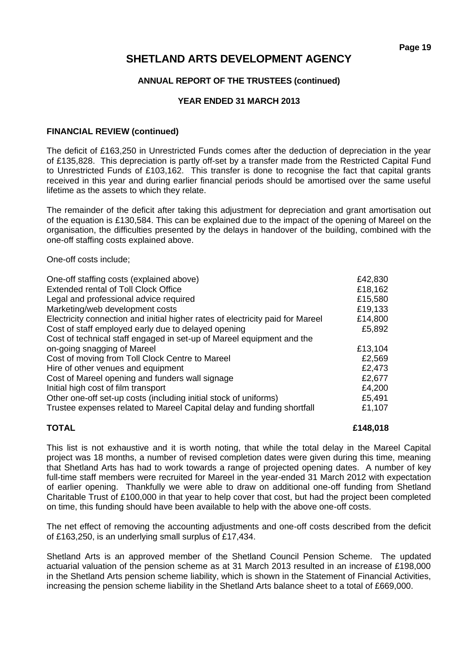### **ANNUAL REPORT OF THE TRUSTEES (continued)**

### **YEAR ENDED 31 MARCH 2013**

### **FINANCIAL REVIEW (continued)**

The deficit of £163,250 in Unrestricted Funds comes after the deduction of depreciation in the year of £135,828. This depreciation is partly off-set by a transfer made from the Restricted Capital Fund to Unrestricted Funds of £103,162. This transfer is done to recognise the fact that capital grants received in this year and during earlier financial periods should be amortised over the same useful lifetime as the assets to which they relate.

The remainder of the deficit after taking this adjustment for depreciation and grant amortisation out of the equation is £130,584. This can be explained due to the impact of the opening of Mareel on the organisation, the difficulties presented by the delays in handover of the building, combined with the one-off staffing costs explained above.

One-off costs include;

| One-off staffing costs (explained above)                                       | £42,830 |
|--------------------------------------------------------------------------------|---------|
| <b>Extended rental of Toll Clock Office</b>                                    | £18,162 |
| Legal and professional advice required                                         | £15,580 |
| Marketing/web development costs                                                | £19,133 |
| Electricity connection and initial higher rates of electricity paid for Mareel | £14,800 |
| Cost of staff employed early due to delayed opening                            | £5,892  |
| Cost of technical staff engaged in set-up of Mareel equipment and the          |         |
| on-going snagging of Mareel                                                    | £13,104 |
| Cost of moving from Toll Clock Centre to Mareel                                | £2,569  |
| Hire of other venues and equipment                                             | £2,473  |
| Cost of Mareel opening and funders wall signage                                | £2,677  |
| Initial high cost of film transport                                            | £4,200  |
| Other one-off set-up costs (including initial stock of uniforms)               | £5,491  |
| Trustee expenses related to Mareel Capital delay and funding shortfall         | £1,107  |

### **TOTAL £148,018**

This list is not exhaustive and it is worth noting, that while the total delay in the Mareel Capital project was 18 months, a number of revised completion dates were given during this time, meaning that Shetland Arts has had to work towards a range of projected opening dates. A number of key full-time staff members were recruited for Mareel in the year-ended 31 March 2012 with expectation of earlier opening. Thankfully we were able to draw on additional one-off funding from Shetland Charitable Trust of £100,000 in that year to help cover that cost, but had the project been completed on time, this funding should have been available to help with the above one-off costs.

The net effect of removing the accounting adjustments and one-off costs described from the deficit of £163,250, is an underlying small surplus of £17,434.

Shetland Arts is an approved member of the Shetland Council Pension Scheme. The updated actuarial valuation of the pension scheme as at 31 March 2013 resulted in an increase of £198,000 in the Shetland Arts pension scheme liability, which is shown in the Statement of Financial Activities, increasing the pension scheme liability in the Shetland Arts balance sheet to a total of £669,000.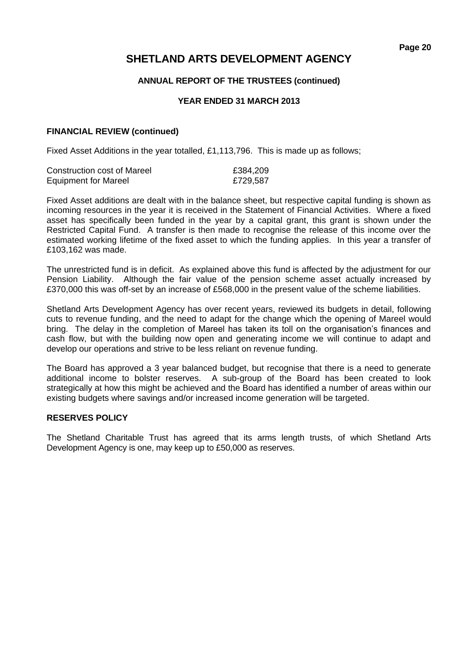### **ANNUAL REPORT OF THE TRUSTEES (continued)**

### **YEAR ENDED 31 MARCH 2013**

### **FINANCIAL REVIEW (continued)**

Fixed Asset Additions in the year totalled, £1,113,796. This is made up as follows;

| Construction cost of Mareel | £384,209 |
|-----------------------------|----------|
| <b>Equipment for Mareel</b> | £729,587 |

Fixed Asset additions are dealt with in the balance sheet, but respective capital funding is shown as incoming resources in the year it is received in the Statement of Financial Activities. Where a fixed asset has specifically been funded in the year by a capital grant, this grant is shown under the Restricted Capital Fund. A transfer is then made to recognise the release of this income over the estimated working lifetime of the fixed asset to which the funding applies. In this year a transfer of £103,162 was made.

The unrestricted fund is in deficit. As explained above this fund is affected by the adjustment for our Pension Liability. Although the fair value of the pension scheme asset actually increased by £370,000 this was off-set by an increase of £568,000 in the present value of the scheme liabilities.

Shetland Arts Development Agency has over recent years, reviewed its budgets in detail, following cuts to revenue funding, and the need to adapt for the change which the opening of Mareel would bring. The delay in the completion of Mareel has taken its toll on the organisation's finances and cash flow, but with the building now open and generating income we will continue to adapt and develop our operations and strive to be less reliant on revenue funding.

The Board has approved a 3 year balanced budget, but recognise that there is a need to generate additional income to bolster reserves. A sub-group of the Board has been created to look strategically at how this might be achieved and the Board has identified a number of areas within our existing budgets where savings and/or increased income generation will be targeted.

### **RESERVES POLICY**

The Shetland Charitable Trust has agreed that its arms length trusts, of which Shetland Arts Development Agency is one, may keep up to £50,000 as reserves.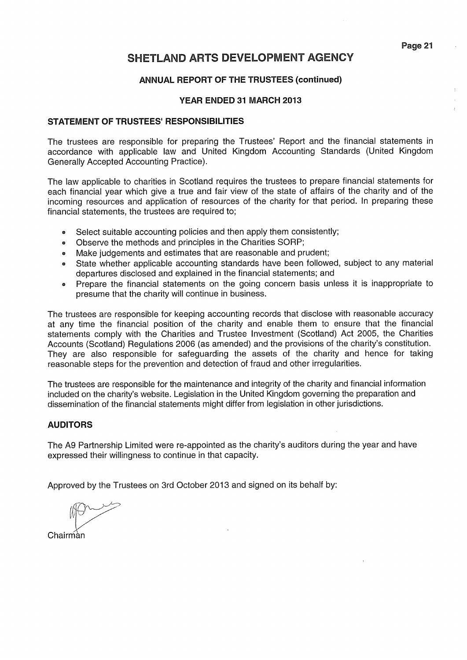### **ANNUAL REPORT OF THE TRUSTEES (continued)**

### YEAR ENDED 31 MARCH 2013

### **STATEMENT OF TRUSTEES' RESPONSIBILITIES**

The trustees are responsible for preparing the Trustees' Report and the financial statements in accordance with applicable law and United Kingdom Accounting Standards (United Kingdom Generally Accepted Accounting Practice).

The law applicable to charities in Scotland requires the trustees to prepare financial statements for each financial year which give a true and fair view of the state of affairs of the charity and of the incoming resources and application of resources of the charity for that period. In preparing these financial statements, the trustees are required to;

- Select suitable accounting policies and then apply them consistently;  $\bullet$
- Observe the methods and principles in the Charities SORP;  $\bullet$
- Make judgements and estimates that are reasonable and prudent;
- State whether applicable accounting standards have been followed, subject to any material  $\bullet$ departures disclosed and explained in the financial statements; and
- Prepare the financial statements on the going concern basis unless it is inappropriate to presume that the charity will continue in business.

The trustees are responsible for keeping accounting records that disclose with reasonable accuracy at any time the financial position of the charity and enable them to ensure that the financial statements comply with the Charities and Trustee Investment (Scotland) Act 2005, the Charities Accounts (Scotland) Regulations 2006 (as amended) and the provisions of the charity's constitution. They are also responsible for safeguarding the assets of the charity and hence for taking reasonable steps for the prevention and detection of fraud and other irregularities.

The trustees are responsible for the maintenance and integrity of the charity and financial information included on the charity's website. Legislation in the United Kingdom governing the preparation and dissemination of the financial statements might differ from legislation in other jurisdictions.

### **AUDITORS**

The A9 Partnership Limited were re-appointed as the charity's auditors during the year and have expressed their willingness to continue in that capacity.

Approved by the Trustees on 3rd October 2013 and signed on its behalf by:

Chairman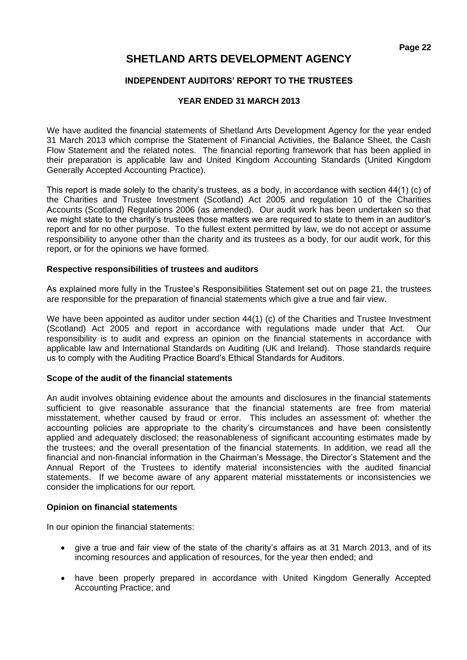### **INDEPENDENT AUDITORS' REPORT TO THE TRUSTEES**

### **YEAR ENDED 31 MARCH 2013**

We have audited the financial statements of Shetland Arts Development Agency for the year ended 31 March 2013 which comprise the Statement of Financial Activities, the Balance Sheet, the Cash Flow Statement and the related notes. The financial reporting framework that has been applied in their preparation is applicable law and United Kingdom Accounting Standards (United Kingdom Generally Accepted Accounting Practice).

This report is made solely to the charity's trustees, as a body, in accordance with section 44(1) (c) of the Charities and Trustee Investment (Scotland) Act 2005 and regulation 10 of the Charities Accounts (Scotland) Regulations 2006 (as amended). Our audit work has been undertaken so that we might state to the charity's trustees those matters we are required to state to them in an auditor's report and for no other purpose. To the fullest extent permitted by law, we do not accept or assume responsibility to anyone other than the charity and its trustees as a body, for our audit work, for this report, or for the opinions we have formed.

### **Respective responsibilities of trustees and auditors**

As explained more fully in the Trustee's Responsibilities Statement set out on page 21, the trustees are responsible for the preparation of financial statements which give a true and fair view.

We have been appointed as auditor under section 44(1) (c) of the Charities and Trustee Investment (Scotland) Act 2005 and report in accordance with regulations made under that Act. Our responsibility is to audit and express an opinion on the financial statements in accordance with applicable law and International Standards on Auditing (UK and Ireland). Those standards require us to comply with the Auditing Practice Board's Ethical Standards for Auditors.

### **Scope of the audit of the financial statements**

An audit involves obtaining evidence about the amounts and disclosures in the financial statements sufficient to give reasonable assurance that the financial statements are free from material misstatement, whether caused by fraud or error. This includes an assessment of: whether the accounting policies are appropriate to the charity's circumstances and have been consistently applied and adequately disclosed; the reasonableness of significant accounting estimates made by the trustees; and the overall presentation of the financial statements. In addition, we read all the financial and non-financial information in the Chairman's Message, the Director's Statement and the Annual Report of the Trustees to identify material inconsistencies with the audited financial statements. If we become aware of any apparent material misstatements or inconsistencies we consider the implications for our report.

### **Opinion on financial statements**

In our opinion the financial statements:

- give a true and fair view of the state of the charity's affairs as at 31 March 2013, and of its incoming resources and application of resources, for the year then ended; and
- have been properly prepared in accordance with United Kingdom Generally Accepted Accounting Practice; and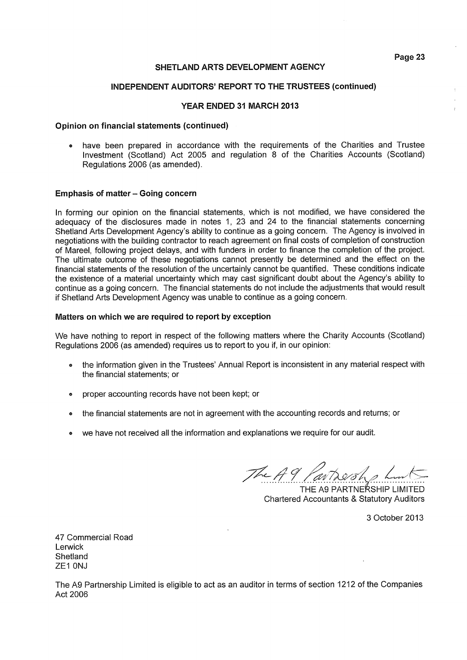#### INDEPENDENT AUDITORS' REPORT TO THE TRUSTEES (continued)

### YEAR ENDED 31 MARCH 2013

#### Opinion on financial statements (continued)

• have been prepared in accordance with the requirements of the Charities and Trustee Investment (Scotland) Act 2005 and regulation 8 of the Charities Accounts (Scotland) Regulations 2006 (as amended).

### **Emphasis of matter - Going concern**

In forming our opinion on the financial statements, which is not modified, we have considered the adequacy of the disclosures made in notes 1, 23 and 24 to the financial statements concerning Shetland Arts Development Agency's ability to continue as a going concern. The Agency is involved in negotiations with the building contractor to reach agreement on final costs of completion of construction of Mareel, following project delays, and with funders in order to finance the completion of the project. The ultimate outcome of these negotiations cannot presently be determined and the effect on the financial statements of the resolution of the uncertainly cannot be quantified. These conditions indicate the existence of a material uncertainty which may cast significant doubt about the Agency's ability to continue as a going concern. The financial statements do not include the adjustments that would result if Shetland Arts Development Agency was unable to continue as a going concern.

#### Matters on which we are required to report by exception

We have nothing to report in respect of the following matters where the Charity Accounts (Scotland) Regulations 2006 (as amended) requires us to report to you if, in our opinion:

- the information given in the Trustees' Annual Report is inconsistent in any material respect with the financial statements: or
- proper accounting records have not been kept; or
- the financial statements are not in agreement with the accounting records and returns; or
- we have not received all the information and explanations we require for our audit.

The A9,

THE A9 PARTNERSHIP LIMITED **Chartered Accountants & Statutory Auditors** 

3 October 2013

47 Commercial Road Lerwick Shetland ZE1 0NJ

The A9 Partnership Limited is eligible to act as an auditor in terms of section 1212 of the Companies Act 2006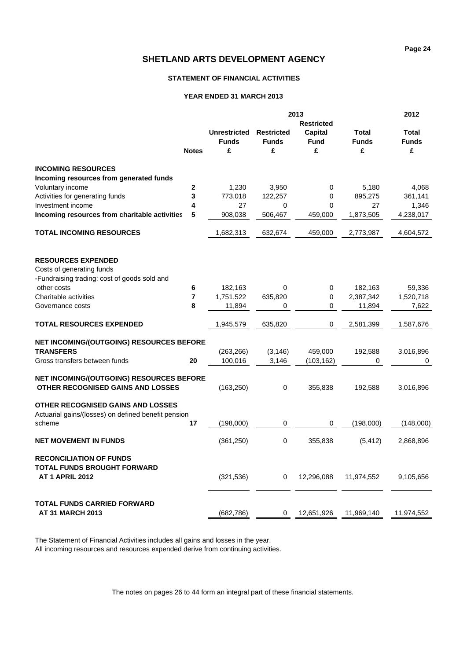### **STATEMENT OF FINANCIAL ACTIVITIES**

#### **YEAR ENDED 31 MARCH 2013**

|                                                                                                 |                |                     | 2012              |                   |              |              |
|-------------------------------------------------------------------------------------------------|----------------|---------------------|-------------------|-------------------|--------------|--------------|
|                                                                                                 |                |                     |                   | <b>Restricted</b> |              |              |
|                                                                                                 |                | <b>Unrestricted</b> | <b>Restricted</b> | Capital           | Total        | Total        |
|                                                                                                 |                | <b>Funds</b>        | <b>Funds</b>      | <b>Fund</b>       | <b>Funds</b> | <b>Funds</b> |
|                                                                                                 | <b>Notes</b>   | £                   | £                 | £                 | £            | £            |
| <b>INCOMING RESOURCES</b>                                                                       |                |                     |                   |                   |              |              |
| Incoming resources from generated funds                                                         |                |                     |                   |                   |              |              |
| Voluntary income                                                                                | $\mathbf 2$    | 1,230               | 3,950             | 0                 | 5,180        | 4,068        |
| Activities for generating funds                                                                 | 3              | 773,018             | 122,257           | 0                 | 895,275      | 361,141      |
| Investment income                                                                               | 4              | 27                  | 0                 | 0                 | 27           | 1,346        |
| Incoming resources from charitable activities                                                   | 5              | 908,038             | 506,467           | 459,000           | 1,873,505    | 4,238,017    |
| TOTAL INCOMING RESOURCES                                                                        |                | 1,682,313           | 632,674           | 459,000           | 2,773,987    | 4,604,572    |
| <b>RESOURCES EXPENDED</b>                                                                       |                |                     |                   |                   |              |              |
| Costs of generating funds                                                                       |                |                     |                   |                   |              |              |
| -Fundraising trading: cost of goods sold and                                                    |                |                     |                   |                   |              |              |
| other costs                                                                                     | 6              | 182,163             | 0                 | 0                 | 182,163      | 59,336       |
| Charitable activities                                                                           | $\overline{7}$ | 1,751,522           | 635,820           | 0                 | 2,387,342    | 1,520,718    |
| Governance costs                                                                                | 8              | 11,894              | $\Omega$          | 0                 | 11,894       | 7,622        |
| <b>TOTAL RESOURCES EXPENDED</b>                                                                 |                | 1,945,579           | 635,820           | 0                 | 2,581,399    | 1,587,676    |
| NET INCOMING/(OUTGOING) RESOURCES BEFORE                                                        |                |                     |                   |                   |              |              |
| <b>TRANSFERS</b>                                                                                |                | (263, 266)          | (3, 146)          | 459,000           | 192,588      | 3,016,896    |
| Gross transfers between funds                                                                   | 20             | 100,016             | 3,146             | (103, 162)        | 0            | 0            |
| NET INCOMING/(OUTGOING) RESOURCES BEFORE<br>OTHER RECOGNISED GAINS AND LOSSES                   |                | (163, 250)          | 0                 | 355,838           | 192,588      | 3,016,896    |
| <b>OTHER RECOGNISED GAINS AND LOSSES</b><br>Actuarial gains/(losses) on defined benefit pension |                |                     |                   |                   |              |              |
| scheme                                                                                          | 17             | (198,000)           | 0                 | 0                 | (198,000)    | (148,000)    |
| <b>NET MOVEMENT IN FUNDS</b>                                                                    |                | (361, 250)          | 0                 | 355,838           | (5, 412)     | 2,868,896    |
| <b>RECONCILIATION OF FUNDS</b><br><b>TOTAL FUNDS BROUGHT FORWARD</b><br><b>AT 1 APRIL 2012</b>  |                | (321, 536)          | 0                 | 12,296,088        | 11,974,552   | 9,105,656    |
| <b>TOTAL FUNDS CARRIED FORWARD</b><br><b>AT 31 MARCH 2013</b>                                   |                | (682,786)           | 0                 | 12,651,926        | 11,969,140   | 11,974,552   |

The Statement of Financial Activities includes all gains and losses in the year.

All incoming resources and resources expended derive from continuing activities.

The notes on pages 26 to 44 form an integral part of these financial statements.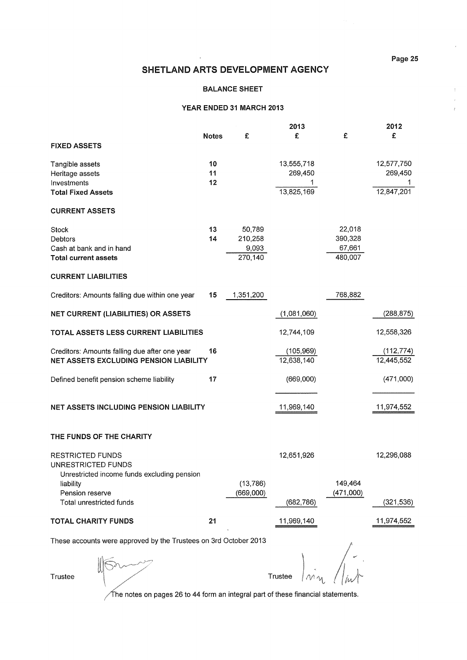$\bar{z}$  $\hat{\vec{r}}$ 

 $\ddot{\cdot}$ 

### SHETLAND ARTS DEVELOPMENT AGENCY

#### **BALANCE SHEET**

#### YEAR ENDED 31 MARCH 2013

|                                                                                                |                |                                       | 2013                                |                                        | 2012                                |
|------------------------------------------------------------------------------------------------|----------------|---------------------------------------|-------------------------------------|----------------------------------------|-------------------------------------|
| <b>FIXED ASSETS</b>                                                                            | <b>Notes</b>   | £                                     | £                                   | £                                      | £                                   |
| Tangible assets<br>Heritage assets<br>Investments<br><b>Total Fixed Assets</b>                 | 10<br>11<br>12 |                                       | 13,555,718<br>269,450<br>13.825.169 |                                        | 12,577,750<br>269,450<br>12.847.201 |
| <b>CURRENT ASSETS</b>                                                                          |                |                                       |                                     |                                        |                                     |
| Stock<br>Debtors<br>Cash at bank and in hand<br><b>Total current assets</b>                    | 13<br>14       | 50,789<br>210,258<br>9,093<br>270,140 |                                     | 22,018<br>390,328<br>67,661<br>480,007 |                                     |
| <b>CURRENT LIABILITIES</b>                                                                     | 15             | 1,351,200                             |                                     | 768,882                                |                                     |
| Creditors: Amounts falling due within one year<br><b>NET CURRENT (LIABILITIES) OR ASSETS</b>   |                |                                       | (1,081,060)                         |                                        | (288, 875)                          |
| TOTAL ASSETS LESS CURRENT LIABILITIES                                                          |                |                                       | 12,744,109                          |                                        | 12,558,326                          |
| Creditors: Amounts falling due after one year<br><b>NET ASSETS EXCLUDING PENSION LIABILITY</b> | 16             |                                       | (105, 969)<br>12,638,140            |                                        | (112, 774)<br>12,445,552            |
| Defined benefit pension scheme liability                                                       | 17             |                                       | (669,000)                           |                                        | (471,000)                           |
| <b>NET ASSETS INCLUDING PENSION LIABILITY</b>                                                  |                |                                       | 11,969,140                          |                                        | 11,974,552                          |
| THE FUNDS OF THE CHARITY                                                                       |                |                                       |                                     |                                        |                                     |
| <b>RESTRICTED FUNDS</b><br>UNRESTRICTED FUNDS<br>Unrestricted income funds excluding pension   |                |                                       | 12,651,926                          |                                        | 12,296,088                          |
| liability<br>Pension reserve<br>Total unrestricted funds                                       |                | (13, 786)<br>(669,000)                | (682, 786)                          | 149,464<br>(471,000)                   | (321, 536)                          |
| <b>TOTAL CHARITY FUNDS</b>                                                                     | 21             |                                       | 11,969,140                          |                                        | 11,974,552                          |

These accounts were approved by the Trustees on 3rd October 2013

Trustee

 $1m_{\nu}$ Trustee

 $\sqrt{\ }$ he notes on pages 26 to 44 form an integral part of these financial statements.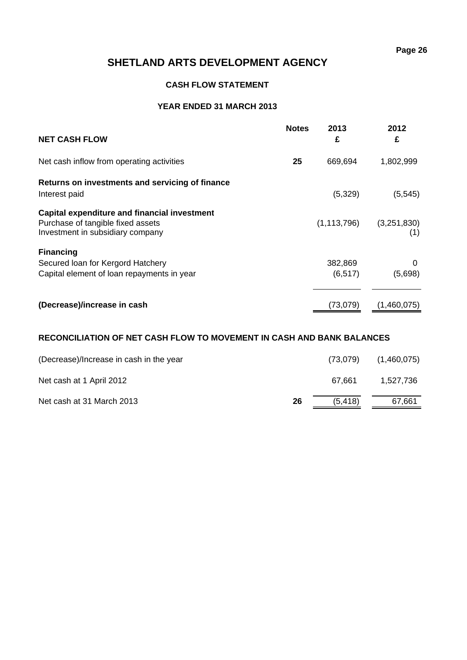### **CASH FLOW STATEMENT**

### **YEAR ENDED 31 MARCH 2013**

| <b>NET CASH FLOW</b>                                                                                                         | <b>Notes</b> | 2013<br>£           | 2012<br>£          |
|------------------------------------------------------------------------------------------------------------------------------|--------------|---------------------|--------------------|
| Net cash inflow from operating activities                                                                                    | 25           | 669,694             | 1,802,999          |
| Returns on investments and servicing of finance<br>Interest paid                                                             |              | (5,329)             | (5, 545)           |
| <b>Capital expenditure and financial investment</b><br>Purchase of tangible fixed assets<br>Investment in subsidiary company |              | (1, 113, 796)       | (3,251,830)<br>(1) |
| <b>Financing</b><br>Secured Ioan for Kergord Hatchery<br>Capital element of loan repayments in year                          |              | 382,869<br>(6, 517) | 0<br>(5,698)       |
| (Decrease)/increase in cash                                                                                                  |              | (73,079)            | (1,460,075)        |

### **RECONCILIATION OF NET CASH FLOW TO MOVEMENT IN CASH AND BANK BALANCES**

| (Decrease)/Increase in cash in the year |    | (73,079) | (1,460,075) |
|-----------------------------------------|----|----------|-------------|
| Net cash at 1 April 2012                |    | 67.661   | 1.527.736   |
| Net cash at 31 March 2013               | 26 | (5, 418) | 67,661      |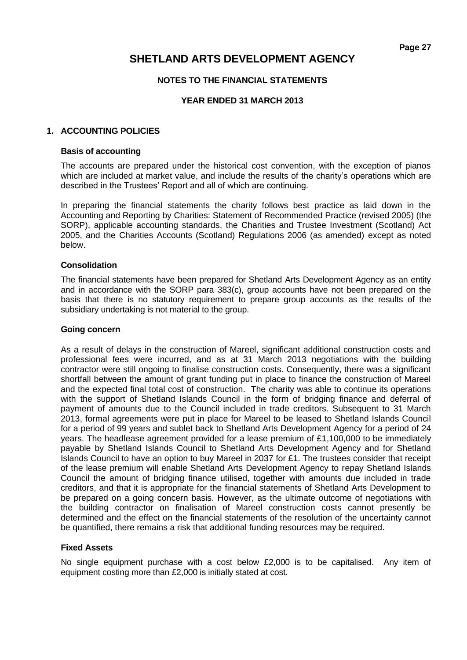### **NOTES TO THE FINANCIAL STATEMENTS**

### **YEAR ENDED 31 MARCH 2013**

### **1. ACCOUNTING POLICIES**

### **Basis of accounting**

The accounts are prepared under the historical cost convention, with the exception of pianos which are included at market value, and include the results of the charity's operations which are described in the Trustees' Report and all of which are continuing.

In preparing the financial statements the charity follows best practice as laid down in the Accounting and Reporting by Charities: Statement of Recommended Practice (revised 2005) (the SORP), applicable accounting standards, the Charities and Trustee Investment (Scotland) Act 2005, and the Charities Accounts (Scotland) Regulations 2006 (as amended) except as noted below.

### **Consolidation**

The financial statements have been prepared for Shetland Arts Development Agency as an entity and in accordance with the SORP para 383(c), group accounts have not been prepared on the basis that there is no statutory requirement to prepare group accounts as the results of the subsidiary undertaking is not material to the group.

### **Going concern**

As a result of delays in the construction of Mareel, significant additional construction costs and professional fees were incurred, and as at 31 March 2013 negotiations with the building contractor were still ongoing to finalise construction costs. Consequently, there was a significant shortfall between the amount of grant funding put in place to finance the construction of Mareel and the expected final total cost of construction. The charity was able to continue its operations with the support of Shetland Islands Council in the form of bridging finance and deferral of payment of amounts due to the Council included in trade creditors. Subsequent to 31 March 2013, formal agreements were put in place for Mareel to be leased to Shetland Islands Council for a period of 99 years and sublet back to Shetland Arts Development Agency for a period of 24 years. The headlease agreement provided for a lease premium of £1,100,000 to be immediately payable by Shetland Islands Council to Shetland Arts Development Agency and for Shetland Islands Council to have an option to buy Mareel in 2037 for £1. The trustees consider that receipt of the lease premium will enable Shetland Arts Development Agency to repay Shetland Islands Council the amount of bridging finance utilised, together with amounts due included in trade creditors, and that it is appropriate for the financial statements of Shetland Arts Development to be prepared on a going concern basis. However, as the ultimate outcome of negotiations with the building contractor on finalisation of Mareel construction costs cannot presently be determined and the effect on the financial statements of the resolution of the uncertainty cannot be quantified, there remains a risk that additional funding resources may be required.

### **Fixed Assets**

No single equipment purchase with a cost below £2,000 is to be capitalised. Any item of equipment costing more than £2,000 is initially stated at cost.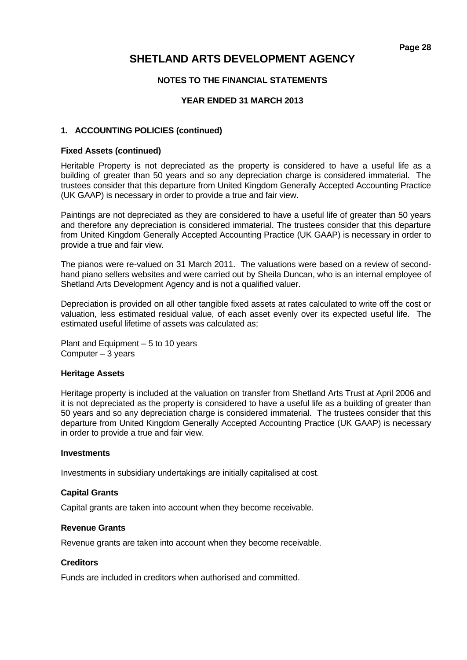### **NOTES TO THE FINANCIAL STATEMENTS**

### **YEAR ENDED 31 MARCH 2013**

### **1. ACCOUNTING POLICIES (continued)**

### **Fixed Assets (continued)**

Heritable Property is not depreciated as the property is considered to have a useful life as a building of greater than 50 years and so any depreciation charge is considered immaterial. The trustees consider that this departure from United Kingdom Generally Accepted Accounting Practice (UK GAAP) is necessary in order to provide a true and fair view.

Paintings are not depreciated as they are considered to have a useful life of greater than 50 years and therefore any depreciation is considered immaterial. The trustees consider that this departure from United Kingdom Generally Accepted Accounting Practice (UK GAAP) is necessary in order to provide a true and fair view.

The pianos were re-valued on 31 March 2011. The valuations were based on a review of secondhand piano sellers websites and were carried out by Sheila Duncan, who is an internal employee of Shetland Arts Development Agency and is not a qualified valuer.

Depreciation is provided on all other tangible fixed assets at rates calculated to write off the cost or valuation, less estimated residual value, of each asset evenly over its expected useful life. The estimated useful lifetime of assets was calculated as;

Plant and Equipment – 5 to 10 years Computer – 3 years

### **Heritage Assets**

Heritage property is included at the valuation on transfer from Shetland Arts Trust at April 2006 and it is not depreciated as the property is considered to have a useful life as a building of greater than 50 years and so any depreciation charge is considered immaterial. The trustees consider that this departure from United Kingdom Generally Accepted Accounting Practice (UK GAAP) is necessary in order to provide a true and fair view.

### **Investments**

Investments in subsidiary undertakings are initially capitalised at cost.

### **Capital Grants**

Capital grants are taken into account when they become receivable.

### **Revenue Grants**

Revenue grants are taken into account when they become receivable.

### **Creditors**

Funds are included in creditors when authorised and committed.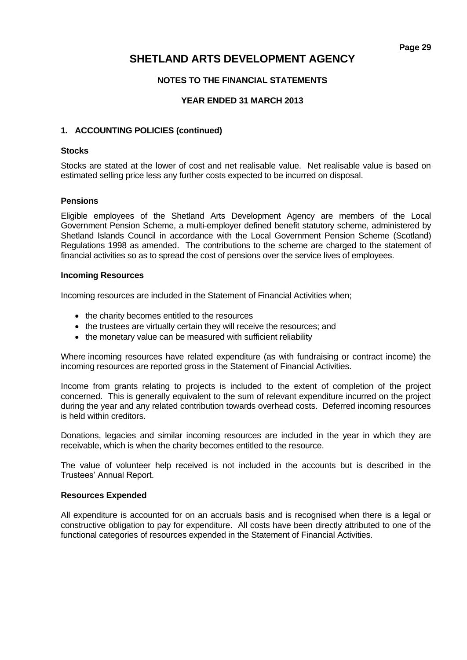### **NOTES TO THE FINANCIAL STATEMENTS**

### **YEAR ENDED 31 MARCH 2013**

### **1. ACCOUNTING POLICIES (continued)**

### **Stocks**

Stocks are stated at the lower of cost and net realisable value. Net realisable value is based on estimated selling price less any further costs expected to be incurred on disposal.

### **Pensions**

Eligible employees of the Shetland Arts Development Agency are members of the Local Government Pension Scheme, a multi-employer defined benefit statutory scheme, administered by Shetland Islands Council in accordance with the Local Government Pension Scheme (Scotland) Regulations 1998 as amended. The contributions to the scheme are charged to the statement of financial activities so as to spread the cost of pensions over the service lives of employees.

### **Incoming Resources**

Incoming resources are included in the Statement of Financial Activities when;

- the charity becomes entitled to the resources
- the trustees are virtually certain they will receive the resources; and
- the monetary value can be measured with sufficient reliability

Where incoming resources have related expenditure (as with fundraising or contract income) the incoming resources are reported gross in the Statement of Financial Activities.

Income from grants relating to projects is included to the extent of completion of the project concerned. This is generally equivalent to the sum of relevant expenditure incurred on the project during the year and any related contribution towards overhead costs. Deferred incoming resources is held within creditors.

Donations, legacies and similar incoming resources are included in the year in which they are receivable, which is when the charity becomes entitled to the resource.

The value of volunteer help received is not included in the accounts but is described in the Trustees' Annual Report.

### **Resources Expended**

All expenditure is accounted for on an accruals basis and is recognised when there is a legal or constructive obligation to pay for expenditure. All costs have been directly attributed to one of the functional categories of resources expended in the Statement of Financial Activities.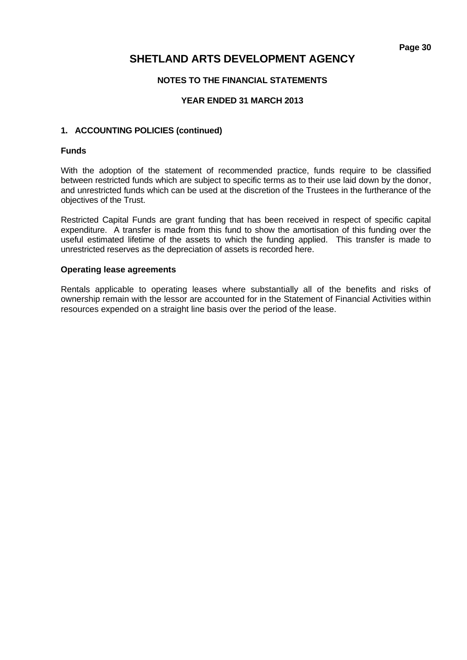### **NOTES TO THE FINANCIAL STATEMENTS**

### **YEAR ENDED 31 MARCH 2013**

### **1. ACCOUNTING POLICIES (continued)**

### **Funds**

With the adoption of the statement of recommended practice, funds require to be classified between restricted funds which are subject to specific terms as to their use laid down by the donor, and unrestricted funds which can be used at the discretion of the Trustees in the furtherance of the objectives of the Trust.

Restricted Capital Funds are grant funding that has been received in respect of specific capital expenditure. A transfer is made from this fund to show the amortisation of this funding over the useful estimated lifetime of the assets to which the funding applied. This transfer is made to unrestricted reserves as the depreciation of assets is recorded here.

### **Operating lease agreements**

Rentals applicable to operating leases where substantially all of the benefits and risks of ownership remain with the lessor are accounted for in the Statement of Financial Activities within resources expended on a straight line basis over the period of the lease.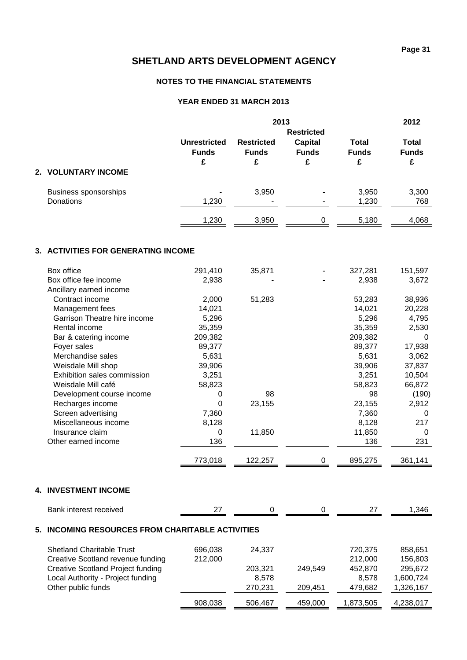### **NOTES TO THE FINANCIAL STATEMENTS**

### **YEAR ENDED 31 MARCH 2013**

|    |                                                      | 2013                |                   |                |              | 2012         |  |  |
|----|------------------------------------------------------|---------------------|-------------------|----------------|--------------|--------------|--|--|
|    |                                                      |                     | <b>Restricted</b> |                |              |              |  |  |
|    |                                                      | <b>Unrestricted</b> | <b>Restricted</b> | <b>Capital</b> | <b>Total</b> | <b>Total</b> |  |  |
|    |                                                      | <b>Funds</b>        | <b>Funds</b>      | <b>Funds</b>   | <b>Funds</b> | <b>Funds</b> |  |  |
|    |                                                      | £                   | £                 | £              | £            | £            |  |  |
|    | 2. VOLUNTARY INCOME                                  |                     |                   |                |              |              |  |  |
|    | <b>Business sponsorships</b>                         |                     | 3,950             |                | 3,950        | 3,300        |  |  |
|    | Donations                                            | 1,230               |                   |                | 1,230        | 768          |  |  |
|    |                                                      | 1,230               | 3,950             | $\pmb{0}$      | 5,180        | 4,068        |  |  |
|    | 3. ACTIVITIES FOR GENERATING INCOME                  |                     |                   |                |              |              |  |  |
|    | Box office                                           | 291,410             | 35,871            |                | 327,281      | 151,597      |  |  |
|    | Box office fee income                                | 2,938               |                   |                | 2,938        | 3,672        |  |  |
|    | Ancillary earned income                              |                     |                   |                |              |              |  |  |
|    | Contract income                                      | 2,000               | 51,283            |                | 53,283       | 38,936       |  |  |
|    | Management fees                                      | 14,021              |                   |                | 14,021       | 20,228       |  |  |
|    | Garrison Theatre hire income                         | 5,296               |                   |                | 5,296        | 4,795        |  |  |
|    | Rental income                                        | 35,359              |                   |                | 35,359       | 2,530        |  |  |
|    | Bar & catering income                                | 209,382             |                   |                | 209,382      | $\Omega$     |  |  |
|    | Foyer sales                                          | 89,377              |                   |                | 89,377       | 17,938       |  |  |
|    | Merchandise sales                                    | 5,631               |                   |                | 5,631        | 3,062        |  |  |
|    | Weisdale Mill shop                                   | 39,906              |                   |                | 39,906       | 37,837       |  |  |
|    | Exhibition sales commission                          | 3,251               |                   |                | 3,251        | 10,504       |  |  |
|    | Weisdale Mill café                                   | 58,823              |                   |                | 58,823       | 66,872       |  |  |
|    | Development course income                            | 0                   | 98                |                | 98           | (190)        |  |  |
|    | Recharges income                                     | $\mathbf 0$         | 23,155            |                | 23,155       | 2,912        |  |  |
|    | Screen advertising                                   | 7,360               |                   |                | 7,360        | 0            |  |  |
|    | Miscellaneous income                                 | 8,128               |                   |                | 8,128        | 217          |  |  |
|    | Insurance claim                                      | 0                   | 11,850            |                | 11,850       | $\Omega$     |  |  |
|    | Other earned income                                  | 136                 |                   |                | 136          | 231          |  |  |
|    |                                                      | 773,018             | 122,257           | 0              | 895,275      | 361,141      |  |  |
|    | <b>4. INVESTMENT INCOME</b>                          |                     |                   |                |              |              |  |  |
|    | Bank interest received                               | 27                  | 0                 | 0              | 27           | 1,346        |  |  |
| 5. | <b>INCOMING RESOURCES FROM CHARITABLE ACTIVITIES</b> |                     |                   |                |              |              |  |  |
|    | <b>Shetland Charitable Trust</b>                     | 696,038             | 24,337            |                | 720,375      | 858,651      |  |  |
|    | Creative Scotland revenue funding                    | 212,000             |                   |                | 212,000      | 156,803      |  |  |
|    | <b>Creative Scotland Project funding</b>             |                     | 203,321           | 249,549        | 452,870      | 295,672      |  |  |
|    | Local Authority - Project funding                    |                     | 8,578             |                | 8,578        | 1,600,724    |  |  |
|    | Other public funds                                   |                     | 270,231           | 209,451        | 479,682      | 1,326,167    |  |  |
|    |                                                      |                     |                   |                |              |              |  |  |
|    |                                                      | 908,038             | 506,467           | 459,000        | 1,873,505    | 4,238,017    |  |  |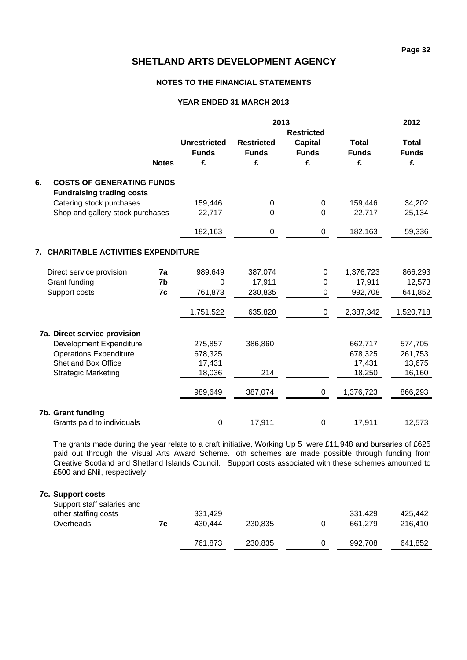### **NOTES TO THE FINANCIAL STATEMENTS**

### **YEAR ENDED 31 MARCH 2013**

|                                                                            |              |                                          | 2013                                   |                                                          |                                   | 2012                              |
|----------------------------------------------------------------------------|--------------|------------------------------------------|----------------------------------------|----------------------------------------------------------|-----------------------------------|-----------------------------------|
|                                                                            | <b>Notes</b> | <b>Unrestricted</b><br><b>Funds</b><br>£ | <b>Restricted</b><br><b>Funds</b><br>£ | <b>Restricted</b><br><b>Capital</b><br><b>Funds</b><br>£ | <b>Total</b><br><b>Funds</b><br>£ | <b>Total</b><br><b>Funds</b><br>£ |
| 6.<br><b>COSTS OF GENERATING FUNDS</b><br><b>Fundraising trading costs</b> |              |                                          |                                        |                                                          |                                   |                                   |
| Catering stock purchases                                                   |              | 159,446                                  | 0                                      | $\pmb{0}$                                                | 159,446                           | 34,202                            |
| Shop and gallery stock purchases                                           |              | 22,717                                   | $\Omega$                               | 0                                                        | 22,717                            | 25,134                            |
|                                                                            |              | 182,163                                  | 0                                      | 0                                                        | 182,163                           | 59,336                            |
| 7. CHARITABLE ACTIVITIES EXPENDITURE                                       |              |                                          |                                        |                                                          |                                   |                                   |
| Direct service provision                                                   | 7a           | 989,649                                  | 387,074                                | 0                                                        | 1,376,723                         | 866,293                           |
| Grant funding                                                              | 7b           | 0                                        | 17,911                                 | 0                                                        | 17,911                            | 12,573                            |
| Support costs                                                              | 7c           | 761,873                                  | 230,835                                | 0                                                        | 992,708                           | 641,852                           |
|                                                                            |              | 1,751,522                                | 635,820                                | $\pmb{0}$                                                | 2,387,342                         | 1,520,718                         |
| 7a. Direct service provision                                               |              |                                          |                                        |                                                          |                                   |                                   |
| Development Expenditure                                                    |              | 275,857                                  | 386,860                                |                                                          | 662,717                           | 574,705                           |
| <b>Operations Expenditure</b>                                              |              | 678,325                                  |                                        |                                                          | 678,325                           | 261,753                           |
| <b>Shetland Box Office</b>                                                 |              | 17,431                                   |                                        |                                                          | 17,431                            | 13,675                            |
| <b>Strategic Marketing</b>                                                 |              | 18,036                                   | 214                                    |                                                          | 18,250                            | 16,160                            |
|                                                                            |              | 989,649                                  | 387,074                                | 0                                                        | 1,376,723                         | 866,293                           |
| 7b. Grant funding                                                          |              |                                          |                                        |                                                          |                                   |                                   |
| Grants paid to individuals                                                 |              | 0                                        | 17,911                                 | 0                                                        | 17,911                            | 12,573                            |

The grants made during the year relate to a craft initiative, Working Up 5 were £11,948 and bursaries of £625 paid out through the Visual Arts Award Scheme. oth schemes are made possible through funding from Creative Scotland and Shetland Islands Council. Support costs associated with these schemes amounted to £500 and £Nil, respectively.

### **7c. Support costs**

| Support staff salaries and |    |         |         |         |         |
|----------------------------|----|---------|---------|---------|---------|
| other staffing costs       |    | 331.429 |         | 331.429 | 425.442 |
| Overheads                  | 7е | 430.444 | 230,835 | 661.279 | 216.410 |
|                            |    | 761.873 | 230,835 | 992,708 | 641.852 |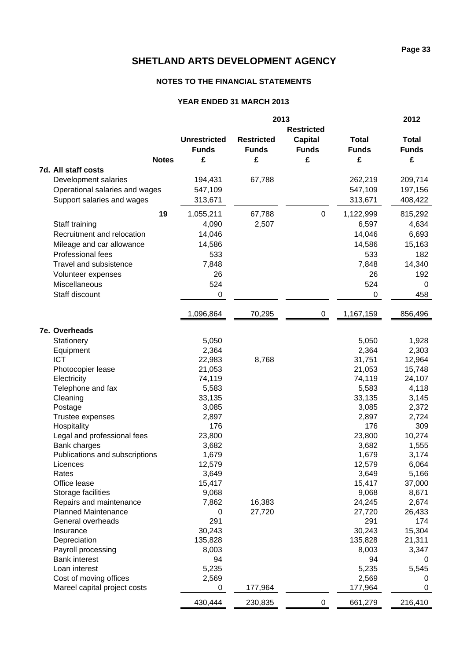### **NOTES TO THE FINANCIAL STATEMENTS**

### **YEAR ENDED 31 MARCH 2013**

|                                                       | 2013                |                   |                   |                 | 2012           |
|-------------------------------------------------------|---------------------|-------------------|-------------------|-----------------|----------------|
|                                                       |                     |                   | <b>Restricted</b> |                 |                |
|                                                       | <b>Unrestricted</b> | <b>Restricted</b> | <b>Capital</b>    | <b>Total</b>    | <b>Total</b>   |
|                                                       | <b>Funds</b>        | <b>Funds</b>      | <b>Funds</b>      | <b>Funds</b>    | <b>Funds</b>   |
| <b>Notes</b>                                          | £                   | £                 | £                 | £               | £              |
| 7d. All staff costs                                   |                     |                   |                   |                 |                |
| Development salaries                                  | 194,431             | 67,788            |                   | 262,219         | 209,714        |
| Operational salaries and wages                        | 547,109             |                   |                   | 547,109         | 197,156        |
| Support salaries and wages                            | 313,671             |                   |                   | 313,671         | 408,422        |
|                                                       |                     |                   |                   |                 |                |
| 19                                                    | 1,055,211           | 67,788            | 0                 | 1,122,999       | 815,292        |
| Staff training                                        | 4,090               | 2,507             |                   | 6,597           | 4,634          |
| Recruitment and relocation                            | 14,046              |                   |                   | 14,046          | 6,693          |
| Mileage and car allowance                             | 14,586              |                   |                   | 14,586          | 15,163         |
| Professional fees                                     | 533                 |                   |                   | 533             | 182            |
| Travel and subsistence                                | 7,848               |                   |                   | 7,848           | 14,340         |
| Volunteer expenses                                    | 26                  |                   |                   | 26              | 192            |
| Miscellaneous                                         | 524                 |                   |                   | 524             | 0              |
| Staff discount                                        | 0                   |                   |                   | 0               | 458            |
|                                                       | 1,096,864           | 70,295            | 0                 | 1,167,159       | 856,496        |
|                                                       |                     |                   |                   |                 |                |
| 7e. Overheads                                         |                     |                   |                   |                 |                |
| Stationery                                            | 5,050               |                   |                   | 5,050           | 1,928          |
| Equipment                                             | 2,364               |                   |                   | 2,364           | 2,303          |
| <b>ICT</b>                                            | 22,983              | 8,768             |                   | 31,751          | 12,964         |
| Photocopier lease                                     | 21,053              |                   |                   | 21,053          | 15,748         |
| Electricity                                           | 74,119              |                   |                   | 74,119          | 24,107         |
| Telephone and fax                                     | 5,583               |                   |                   | 5,583           | 4,118          |
| Cleaning                                              | 33,135              |                   |                   | 33,135          | 3,145          |
| Postage                                               | 3,085               |                   |                   | 3,085           | 2,372          |
| Trustee expenses                                      | 2,897               |                   |                   | 2,897           | 2,724          |
| Hospitality                                           | 176                 |                   |                   | 176             | 309            |
| Legal and professional fees                           | 23,800              |                   |                   | 23,800          | 10,274         |
| Bank charges                                          | 3,682               |                   |                   | 3,682           | 1,555          |
| Publications and subscriptions                        | 1,679               |                   |                   | 1,679           | 3,174          |
| Licences<br>Rates                                     | 12,579              |                   |                   | 12,579          | 6,064          |
| Office lease                                          | 3,649               |                   |                   | 3,649           | 5,166          |
|                                                       | 15,417              |                   |                   | 15,417          | 37,000         |
| Storage facilities                                    | 9,068<br>7,862      | 16,383            |                   | 9,068<br>24,245 | 8,671<br>2,674 |
| Repairs and maintenance<br><b>Planned Maintenance</b> | 0                   | 27,720            |                   | 27,720          | 26,433         |
| General overheads                                     | 291                 |                   |                   | 291             | 174            |
| Insurance                                             | 30,243              |                   |                   | 30,243          | 15,304         |
| Depreciation                                          | 135,828             |                   |                   | 135,828         | 21,311         |
| Payroll processing                                    | 8,003               |                   |                   | 8,003           | 3,347          |
| <b>Bank interest</b>                                  | 94                  |                   |                   | 94              |                |
| Loan interest                                         | 5,235               |                   |                   | 5,235           | 5,545          |
| Cost of moving offices                                | 2,569               |                   |                   | 2,569           | 0              |
| Mareel capital project costs                          | 0                   | 177,964           |                   | 177,964         | 0              |
|                                                       | 430,444             | 230,835           | $\pmb{0}$         | 661,279         | 216,410        |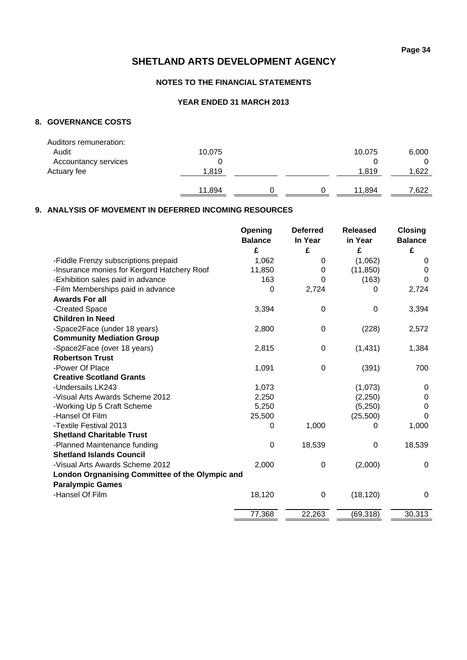### **NOTES TO THE FINANCIAL STATEMENTS**

### **YEAR ENDED 31 MARCH 2013**

### **8. GOVERNANCE COSTS**

| Auditors remuneration: |        |  |        |       |
|------------------------|--------|--|--------|-------|
| Audit                  | 10,075 |  | 10,075 | 6,000 |
| Accountancy services   |        |  |        |       |
| Actuary fee            | 1.819  |  | 1.819  | 1,622 |
|                        |        |  |        |       |
|                        | 11.894 |  | 11.894 | 7,622 |
|                        |        |  |        |       |

### **9. ANALYSIS OF MOVEMENT IN DEFERRED INCOMING RESOURCES**

|                                                 | Opening<br><b>Balance</b> | <b>Deferred</b>  | <b>Released</b><br>in Year | <b>Closing</b>      |
|-------------------------------------------------|---------------------------|------------------|----------------------------|---------------------|
|                                                 | £                         | In Year<br>£     | £                          | <b>Balance</b><br>£ |
| -Fiddle Frenzy subscriptions prepaid            | 1,062                     | 0                | (1,062)                    | 0                   |
| -Insurance monies for Kergord Hatchery Roof     | 11,850                    | 0                | (11, 850)                  | 0                   |
| -Exhibition sales paid in advance               | 163                       | 0                | (163)                      | $\Omega$            |
| -Film Memberships paid in advance               | 0                         | 2,724            | 0                          | 2,724               |
| <b>Awards For all</b>                           |                           |                  |                            |                     |
| -Created Space                                  | 3,394                     | 0                | 0                          | 3,394               |
| <b>Children In Need</b>                         |                           |                  |                            |                     |
| -Space2Face (under 18 years)                    | 2,800                     | 0                | (228)                      | 2,572               |
| <b>Community Mediation Group</b>                |                           |                  |                            |                     |
| -Space2Face (over 18 years)                     | 2,815                     | $\boldsymbol{0}$ | (1, 431)                   | 1,384               |
| <b>Robertson Trust</b>                          |                           |                  |                            |                     |
| -Power Of Place                                 | 1,091                     | $\boldsymbol{0}$ | (391)                      | 700                 |
| <b>Creative Scotland Grants</b>                 |                           |                  |                            |                     |
| -Undersails LK243                               | 1,073                     |                  | (1,073)                    | 0                   |
| -Visual Arts Awards Scheme 2012                 | 2,250                     |                  | (2, 250)                   | 0                   |
| -Working Up 5 Craft Scheme                      | 5,250                     |                  | (5,250)                    | 0                   |
| -Hansel Of Film                                 | 25,500                    |                  | (25, 500)                  | $\Omega$            |
| -Textile Festival 2013                          | 0                         | 1,000            | 0                          | 1,000               |
| <b>Shetland Charitable Trust</b>                |                           |                  |                            |                     |
| -Planned Maintenance funding                    | $\pmb{0}$                 | 18,539           | $\mathbf 0$                | 18,539              |
| <b>Shetland Islands Council</b>                 |                           |                  |                            |                     |
| -Visual Arts Awards Scheme 2012                 | 2,000                     | $\boldsymbol{0}$ | (2,000)                    | 0                   |
| London Orgnanising Committee of the Olympic and |                           |                  |                            |                     |
| <b>Paralympic Games</b>                         |                           |                  |                            |                     |
| -Hansel Of Film                                 | 18,120                    | $\boldsymbol{0}$ | (18, 120)                  | 0                   |
|                                                 |                           |                  |                            |                     |
|                                                 | 77,368                    | 22,263           | (69, 318)                  | 30,313              |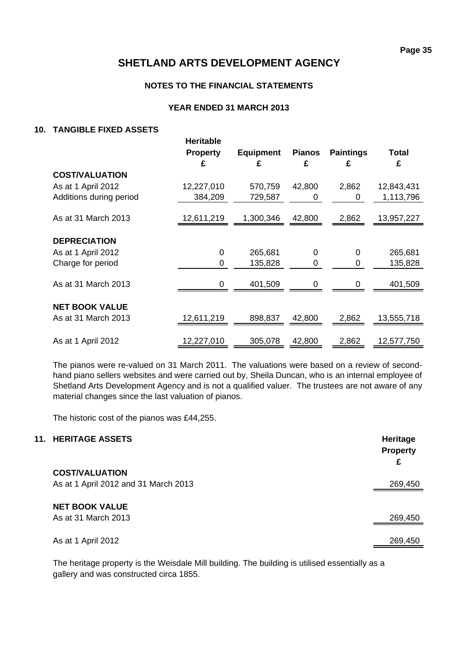### **NOTES TO THE FINANCIAL STATEMENTS**

### **YEAR ENDED 31 MARCH 2013**

### **10. TANGIBLE FIXED ASSETS**

|                                              | <b>Heritable</b><br><b>Property</b> | <b>Equipment</b> | <b>Pianos</b> | <b>Paintings</b> | Total      |
|----------------------------------------------|-------------------------------------|------------------|---------------|------------------|------------|
|                                              | £                                   | £                | £             | £                | £          |
| <b>COST/VALUATION</b>                        |                                     |                  |               |                  |            |
| As at 1 April 2012                           | 12,227,010                          | 570,759          | 42,800        | 2,862            | 12,843,431 |
| Additions during period                      | 384,209                             | 729,587          | 0             | 0                | 1,113,796  |
| As at 31 March 2013                          | 12,611,219                          | 1,300,346        | 42,800        | 2,862            | 13,957,227 |
| <b>DEPRECIATION</b>                          |                                     |                  |               |                  |            |
| As at 1 April 2012                           | 0                                   | 265,681          | 0             | 0                | 265,681    |
| Charge for period                            | 0                                   | 135,828          | 0             | 0                | 135,828    |
| As at 31 March 2013                          | O                                   | 401,509          |               |                  | 401,509    |
| <b>NET BOOK VALUE</b><br>As at 31 March 2013 | 12,611,219                          | 898,837          | 42,800        | 2,862            | 13,555,718 |
| As at 1 April 2012                           | 12,227,010                          | 305,078          | 42,800        | 2,862            | 12,577,750 |

The pianos were re-valued on 31 March 2011. The valuations were based on a review of secondhand piano sellers websites and were carried out by, Sheila Duncan, who is an internal employee of Shetland Arts Development Agency and is not a qualified valuer. The trustees are not aware of any material changes since the last valuation of pianos.

The historic cost of the pianos was £44,255.

| <b>11. HERITAGE ASSETS</b>           | Heritage<br><b>Property</b><br>£ |
|--------------------------------------|----------------------------------|
| <b>COST/VALUATION</b>                |                                  |
| As at 1 April 2012 and 31 March 2013 | 269,450                          |
| <b>NET BOOK VALUE</b>                |                                  |
| As at 31 March 2013                  | 269,450                          |
| As at 1 April 2012                   | 269,450                          |

The heritage property is the Weisdale Mill building. The building is utilised essentially as a gallery and was constructed circa 1855.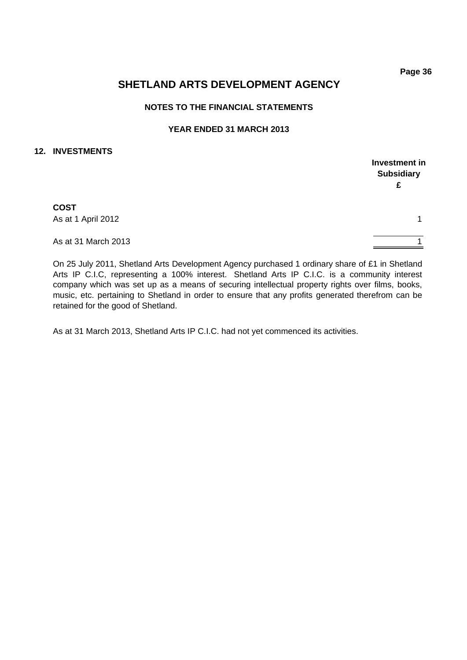**Investment in Subsidiary £**

## **SHETLAND ARTS DEVELOPMENT AGENCY**

### **NOTES TO THE FINANCIAL STATEMENTS**

### **YEAR ENDED 31 MARCH 2013**

### **12. INVESTMENTS**

As at 1 April 2012 1

As at 31 March 2013 1

On 25 July 2011, Shetland Arts Development Agency purchased 1 ordinary share of £1 in Shetland Arts IP C.I.C, representing a 100% interest. Shetland Arts IP C.I.C. is a community interest company which was set up as a means of securing intellectual property rights over films, books, music, etc. pertaining to Shetland in order to ensure that any profits generated therefrom can be retained for the good of Shetland.

As at 31 March 2013, Shetland Arts IP C.I.C. had not yet commenced its activities.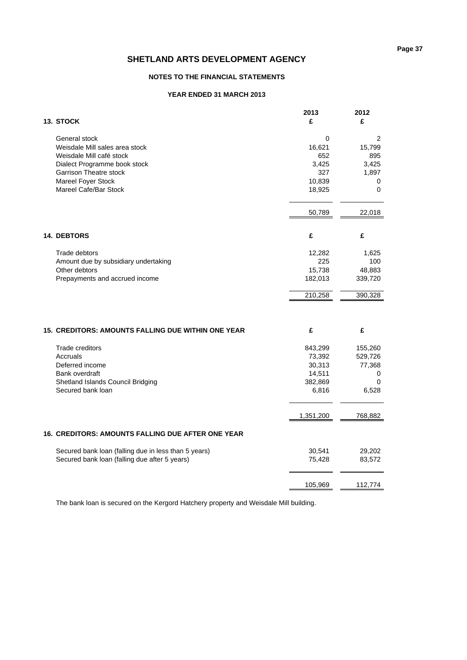### **NOTES TO THE FINANCIAL STATEMENTS**

#### **YEAR ENDED 31 MARCH 2013**

| 13. STOCK                                                 | 2013<br>£   | 2012<br>£ |
|-----------------------------------------------------------|-------------|-----------|
| General stock                                             | $\mathbf 0$ | 2         |
| Weisdale Mill sales area stock                            | 16,621      | 15,799    |
| Weisdale Mill café stock                                  | 652         | 895       |
| Dialect Programme book stock                              | 3,425       | 3,425     |
| <b>Garrison Theatre stock</b>                             | 327         | 1,897     |
| Mareel Foyer Stock                                        | 10,839      | 0         |
| Mareel Cafe/Bar Stock                                     | 18,925      | $\Omega$  |
|                                                           | 50,789      | 22,018    |
|                                                           |             |           |
| <b>14. DEBTORS</b>                                        | £           | £         |
| Trade debtors                                             | 12,282      | 1,625     |
| Amount due by subsidiary undertaking                      | 225         | 100       |
| Other debtors                                             | 15,738      | 48,883    |
| Prepayments and accrued income                            | 182,013     | 339,720   |
|                                                           | 210,258     | 390,328   |
|                                                           |             |           |
| <b>15. CREDITORS: AMOUNTS FALLING DUE WITHIN ONE YEAR</b> | £           | £         |
| <b>Trade creditors</b>                                    | 843,299     | 155,260   |
| Accruals                                                  | 73,392      | 529,726   |
| Deferred income                                           | 30,313      | 77,368    |
| Bank overdraft                                            | 14,511      | 0         |
| Shetland Islands Council Bridging                         | 382,869     | $\Omega$  |
| Secured bank loan                                         | 6,816       | 6,528     |
|                                                           | 1,351,200   | 768,882   |
| <b>16. CREDITORS: AMOUNTS FALLING DUE AFTER ONE YEAR</b>  |             |           |
| Secured bank loan (falling due in less than 5 years)      | 30,541      | 29,202    |
| Secured bank loan (falling due after 5 years)             | 75,428      | 83,572    |
|                                                           |             |           |
|                                                           | 105,969     | 112,774   |
|                                                           |             |           |

The bank loan is secured on the Kergord Hatchery property and Weisdale Mill building.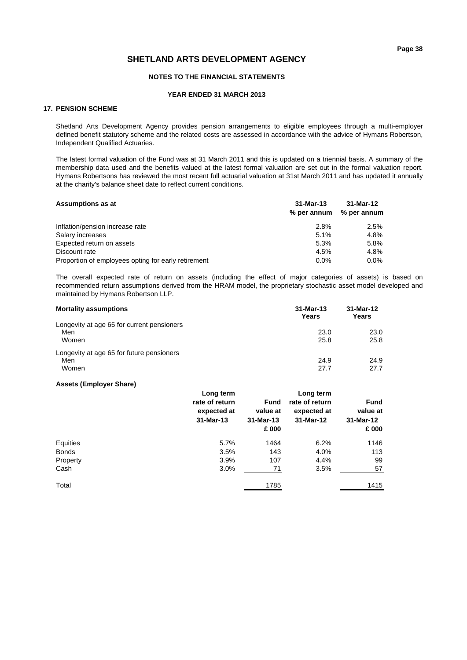#### **NOTES TO THE FINANCIAL STATEMENTS**

#### **YEAR ENDED 31 MARCH 2013**

#### **17. PENSION SCHEME**

Shetland Arts Development Agency provides pension arrangements to eligible employees through a multi-employer defined benefit statutory scheme and the related costs are assessed in accordance with the advice of Hymans Robertson, Independent Qualified Actuaries.

The latest formal valuation of the Fund was at 31 March 2011 and this is updated on a triennial basis. A summary of the membership data used and the benefits valued at the latest formal valuation are set out in the formal valuation report. Hymans Robertsons has reviewed the most recent full actuarial valuation at 31st March 2011 and has updated it annually at the charity's balance sheet date to reflect current conditions.

| <b>Assumptions as at</b>                            | 31-Mar-13   | 31-Mar-12   |  |
|-----------------------------------------------------|-------------|-------------|--|
|                                                     | % per annum | % per annum |  |
| Inflation/pension increase rate                     | 2.8%        | 2.5%        |  |
| Salary increases                                    | 5.1%        | 4.8%        |  |
| Expected return on assets                           | 5.3%        | 5.8%        |  |
| Discount rate                                       | 4.5%        | 4.8%        |  |
| Proportion of employees opting for early retirement | $0.0\%$     | $0.0\%$     |  |

The overall expected rate of return on assets (including the effect of major categories of assets) is based on recommended return assumptions derived from the HRAM model, the proprietary stochastic asset model developed and maintained by Hymans Robertson LLP.

| <b>Mortality assumptions</b>               | 31-Mar-13<br>Years | 31-Mar-12<br>Years |
|--------------------------------------------|--------------------|--------------------|
| Longevity at age 65 for current pensioners |                    |                    |
| Men                                        | 23.0               | 23.0               |
| Women                                      | 25.8               | 25.8               |
| Longevity at age 65 for future pensioners  |                    |                    |
| Men                                        | 24.9               | 24.9               |
| Women                                      | 27.7               | 27.7               |

#### **Assets (Employer Share)**

|              | Long term<br>rate of return<br>expected at<br>$31-Mar-13$ | <b>Fund</b><br>value at<br>31-Mar-13<br>£ 000 | Long term<br>rate of return<br>expected at<br>31-Mar-12 | <b>Fund</b><br>value at<br>31-Mar-12<br>£ 000 |
|--------------|-----------------------------------------------------------|-----------------------------------------------|---------------------------------------------------------|-----------------------------------------------|
| Equities     | 5.7%                                                      | 1464                                          | 6.2%                                                    | 1146                                          |
| <b>Bonds</b> | 3.5%                                                      | 143                                           | 4.0%                                                    | 113                                           |
| Property     | 3.9%                                                      | 107                                           | 4.4%                                                    | 99                                            |
| Cash         | 3.0%                                                      | 71                                            | 3.5%                                                    | 57                                            |
| Total        |                                                           | 1785                                          |                                                         | 1415                                          |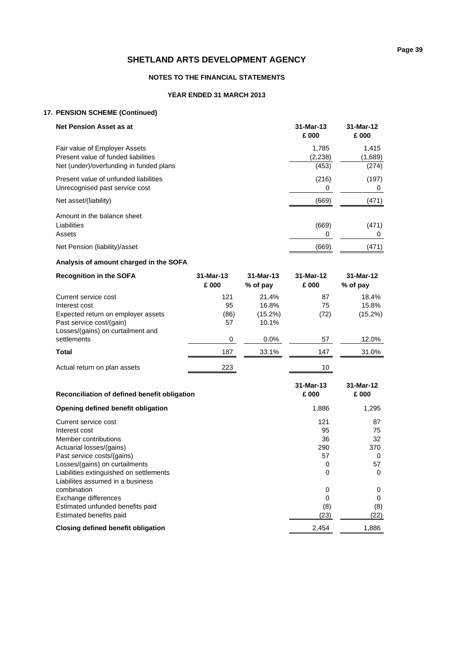#### **NOTES TO THE FINANCIAL STATEMENTS**

### **YEAR ENDED 31 MARCH 2013**

### **17. PENSION SCHEME (Continued)**

| <b>Net Pension Asset as at</b>          | 31-Mar-13<br>£ 000 | 31-Mar-12<br>£000 |
|-----------------------------------------|--------------------|-------------------|
| Fair value of Employer Assets           | 1.785              | 1.415             |
| Present value of funded liabilities     | (2,238)            | (1,689)           |
| Net (under)/overfunding in funded plans | (453)              | (274)             |
| Present value of unfunded liabilities   | (216)              | (197)             |
| Unrecognised past service cost          | 0                  | 0                 |
| Net asset/(liability)                   | (669)              | (471)             |
| Amount in the balance sheet             |                    |                   |
| Liabilities                             | (669)              | (471)             |
| Assets                                  | 0                  | 0                 |
| Net Pension (liability)/asset           | (669)              | (471)             |

### **Analysis of amount charged in the SOFA**

| <b>Recognition in the SOFA</b>                                | $31-Mar-13$<br>£000 | 31-Mar-13<br>% of pay | 31-Mar-12<br>£ 000 | 31-Mar-12<br>% of pay |
|---------------------------------------------------------------|---------------------|-----------------------|--------------------|-----------------------|
| Current service cost                                          | 121                 | 21.4%                 | 87                 | 18.4%                 |
| Interest cost                                                 | 95                  | 16.8%                 | 75                 | 15.8%                 |
| Expected return on employer assets                            | (86)                | $(15.2\%)$            | (72)               | $(15.2\%)$            |
| Past service cost/(gain)<br>Losses/(gains) on curtailment and | 57                  | 10.1%                 |                    |                       |
| settlements                                                   | 0                   | $0.0\%$               | 57                 | 12.0%                 |
| Total                                                         | 187                 | 33.1%                 | 147                | 31.0%                 |
| Actual return on plan assets                                  | 223                 |                       | 10                 |                       |

| Reconciliation of defined benefit obligation | 31-Mar-13<br>£ 000 | 31-Mar-12<br>£ 000 |
|----------------------------------------------|--------------------|--------------------|
| Opening defined benefit obligation           | 1,886              | 1,295              |
| Current service cost                         | 121                | 87                 |
| Interest cost                                | 95                 | 75                 |
| Member contributions                         | 36                 | 32                 |
| Actuarial losses/(gains)                     | 290                | 370                |
| Past service costs/(gains)                   | 57                 | 0                  |
| Losses/(gains) on curtailments               | O                  | 57                 |
| Liabilities extinguished on settlements      | 0                  | 0                  |
| Liabilites assumed in a business             |                    |                    |
| combination                                  | 0                  | 0                  |
| Exchange differences                         | 0                  | 0                  |
| Estimated unfunded benefits paid             | (8)                | (8)                |
| Estimated benefits paid                      | (23)               | (22)               |
| Closing defined benefit obligation           | 2,454              | 1,886              |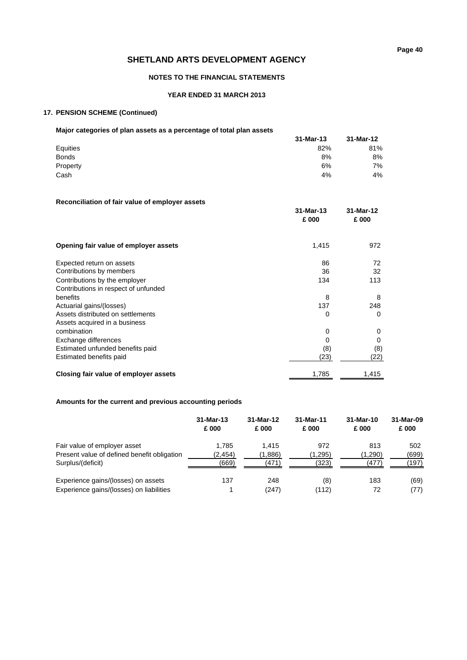#### **NOTES TO THE FINANCIAL STATEMENTS**

#### **YEAR ENDED 31 MARCH 2013**

#### **17. PENSION SCHEME (Continued)**

### **Major categories of plan assets as a percentage of total plan assets**

| major categories of plan assets as a percentage of total plan assets |           |           |
|----------------------------------------------------------------------|-----------|-----------|
|                                                                      | 31-Mar-13 | 31-Mar-12 |
| Equities                                                             | 82%       | 81%       |
| <b>Bonds</b>                                                         | 8%        | 8%        |
| Property                                                             | 6%        | 7%        |
| Cash                                                                 | 4%        | 4%        |
|                                                                      |           |           |

### **Reconciliation of fair value of employer assets**

|                                       | 31-Mar-13<br>£ 000 | 31-Mar-12<br>£ 000 |
|---------------------------------------|--------------------|--------------------|
| Opening fair value of employer assets | 1,415              | 972                |
| Expected return on assets             | 86                 | 72                 |
| Contributions by members              | 36                 | 32                 |
| Contributions by the employer         | 134                | 113                |
| Contributions in respect of unfunded  |                    |                    |
| benefits                              | 8                  | 8                  |
| Actuarial gains/(losses)              | 137                | 248                |
| Assets distributed on settlements     | 0                  | 0                  |
| Assets acquired in a business         |                    |                    |
| combination                           | 0                  | 0                  |
| Exchange differences                  | 0                  | 0                  |
| Estimated unfunded benefits paid      | (8)                | (8)                |
| Estimated benefits paid               | (23)               | (22)               |
| Closing fair value of employer assets | 1,785              | 1,415              |

### **Amounts for the current and previous accounting periods**

|                                             | $31-Mar-13$<br>£ 000 | 31-Mar-12<br>£ 000 | 31-Mar-11<br>£ 000 | 31-Mar-10<br>£ 000 | 31-Mar-09<br>£ 000 |
|---------------------------------------------|----------------------|--------------------|--------------------|--------------------|--------------------|
| Fair value of employer asset                | 1.785                | 1.415              | 972                | 813                | 502                |
| Present value of defined benefit obligation | (2,454)              | (1,886)            | (1,295)            | (1,290)            | (699)              |
| Surplus/(deficit)                           | (669)                | (471)              | (323)              | (477)              | (197)              |
| Experience gains/(losses) on assets         | 137                  | 248                | (8)                | 183                | (69)               |
| Experience gains/(losses) on liabilities    |                      | (247)              | (112)              | 72                 | (77)               |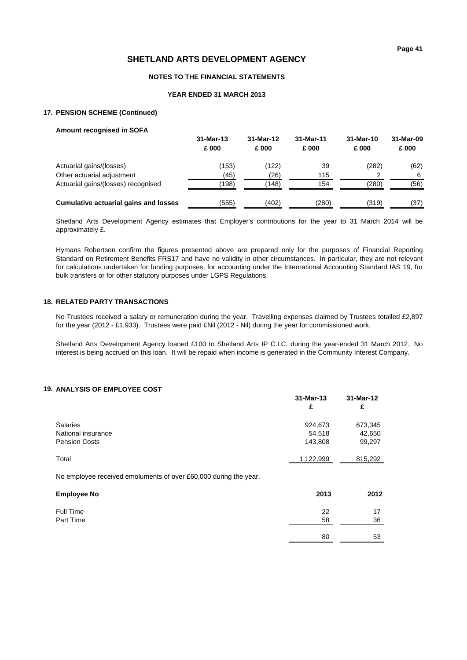#### **NOTES TO THE FINANCIAL STATEMENTS**

#### **YEAR ENDED 31 MARCH 2013**

#### **17. PENSION SCHEME (Continued)**

| <b>Amount recognised in SOFA</b>             |                      |                    |                    |                   |                    |
|----------------------------------------------|----------------------|--------------------|--------------------|-------------------|--------------------|
|                                              | $31-Mar-13$<br>£ 000 | 31-Mar-12<br>£ 000 | 31-Mar-11<br>£ 000 | 31-Mar-10<br>£000 | 31-Mar-09<br>£ 000 |
| Actuarial gains/(losses)                     | (153)                | (122)              | 39                 | (282)             | (62)               |
| Other actuarial adjustment                   | (45)                 | (26)               | 115                | 2                 | 6                  |
| Actuarial gains/(losses) recognised          | (198)                | (148)              | 154                | (280)             | (56)               |
| <b>Cumulative actuarial gains and losses</b> | (555)                | (402)              | (280)              | (319)             | (37)               |

Shetland Arts Development Agency estimates that Employer's contributions for the year to 31 March 2014 will be approximately £.

Hymans Robertson confirm the figures presented above are prepared only for the purposes of Financial Reporting Standard on Retirement Benefits FRS17 and have no validity in other circumstances. In particular, they are not relevant for calculations undertaken for funding purposes, for accounting under the International Accounting Standard IAS 19, for bulk transfers or for other statutory purposes under LGPS Regulations.

#### **18. RELATED PARTY TRANSACTIONS**

No Trustees received a salary or remuneration during the year. Travelling expenses claimed by Trustees totalled £2,897 for the year (2012 - £1,933). Trustees were paid £Nil (2012 - Nil) during the year for commissioned work.

Shetland Arts Development Agency loaned £100 to Shetland Arts IP C.I.C. during the year-ended 31 March 2012. No interest is being accrued on this loan. It will be repaid when income is generated in the Community Interest Company.

#### **19. ANALYSIS OF EMPLOYEE COST**

|                                                                  | 31-Mar-13<br>£               | 31-Mar-12<br>£              |
|------------------------------------------------------------------|------------------------------|-----------------------------|
| <b>Salaries</b><br>National insurance<br><b>Pension Costs</b>    | 924,673<br>54,518<br>143,808 | 673,345<br>42,650<br>99,297 |
| Total                                                            | 1,122,999                    | 815,292                     |
| No employee received emoluments of over £60,000 during the year. |                              |                             |
| <b>Employee No</b>                                               | 2013                         | 2012                        |
| Full Time<br>Part Time                                           | 22<br>58                     | 17<br>36                    |
|                                                                  | 80                           | 53                          |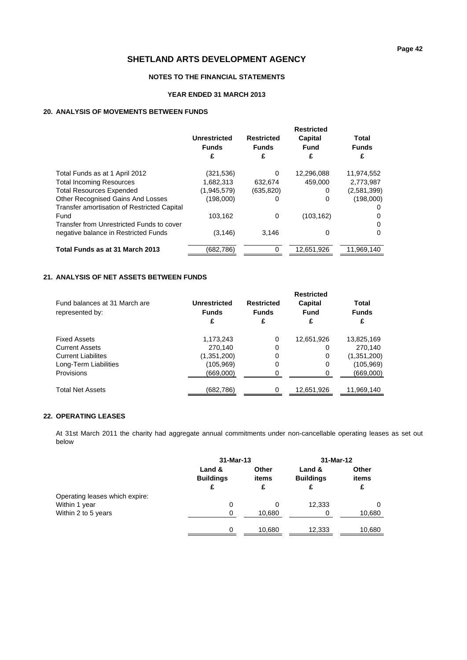#### **NOTES TO THE FINANCIAL STATEMENTS**

#### **YEAR ENDED 31 MARCH 2013**

#### **20. ANALYSIS OF MOVEMENTS BETWEEN FUNDS**

|                                             | <b>Restricted</b>   |                   |            |              |  |
|---------------------------------------------|---------------------|-------------------|------------|--------------|--|
|                                             | <b>Unrestricted</b> | <b>Restricted</b> | Capital    | Total        |  |
|                                             | <b>Funds</b>        | <b>Funds</b>      | Fund       | <b>Funds</b> |  |
|                                             | £                   | £                 | £          | £            |  |
| Total Funds as at 1 April 2012              | (321,536)           | 0                 | 12,296,088 | 11.974.552   |  |
| <b>Total Incoming Resources</b>             | 1,682,313           | 632,674           | 459.000    | 2,773,987    |  |
| <b>Total Resources Expended</b>             | (1,945,579)         | (635, 820)        | 0          | (2,581,399)  |  |
| <b>Other Recognised Gains And Losses</b>    | (198,000)           | O                 | 0          | (198,000)    |  |
| Transfer amortisation of Restricted Capital |                     |                   |            |              |  |
| Fund                                        | 103,162             | 0                 | (103, 162) |              |  |
| Transfer from Unrestricted Funds to cover   |                     |                   |            | <sup>0</sup> |  |
| negative balance in Restricted Funds        | (3, 146)            | 3.146             | 0          | 0            |  |
| Total Funds as at 31 March 2013             | (682,786)           | $\Omega$          | 12,651,926 | 11,969,140   |  |

### **21. ANALYSIS OF NET ASSETS BETWEEN FUNDS**

|                                                  | <b>Restricted</b>                 |                                        |                      |                            |  |  |  |
|--------------------------------------------------|-----------------------------------|----------------------------------------|----------------------|----------------------------|--|--|--|
| Fund balances at 31 March are<br>represented by: | Unrestricted<br><b>Funds</b><br>£ | <b>Restricted</b><br><b>Funds</b><br>£ | Capital<br>Fund<br>£ | Total<br><b>Funds</b><br>£ |  |  |  |
| <b>Fixed Assets</b>                              | 1,173,243                         | 0                                      | 12,651,926           | 13,825,169                 |  |  |  |
| <b>Current Assets</b>                            | 270.140                           | 0                                      | 0                    | 270.140                    |  |  |  |
| <b>Current Liabilites</b>                        | (1,351,200)                       | 0                                      | 0                    | (1,351,200)                |  |  |  |
| Long-Term Liabilities                            | (105,969)                         | 0                                      | 0                    | (105,969)                  |  |  |  |
| Provisions                                       | (669,000)                         | 0                                      | 0                    | (669,000)                  |  |  |  |
| <b>Total Net Assets</b>                          | (682,786)                         | 0                                      | 12,651,926           | 11,969,140                 |  |  |  |

### **22. OPERATING LEASES**

At 31st March 2011 the charity had aggregate annual commitments under non-cancellable operating leases as set out below

|                                | $31-Mar-13$                |                | 31-Mar-12                  |                |
|--------------------------------|----------------------------|----------------|----------------------------|----------------|
|                                | Land &<br><b>Buildings</b> | Other<br>items | Land &<br><b>Buildings</b> | Other<br>items |
|                                | £                          | £              | £                          | £              |
| Operating leases which expire: |                            |                |                            |                |
| Within 1 year                  | 0                          | 0              | 12,333                     |                |
| Within 2 to 5 years            | 0                          | 10,680         | 0                          | 10,680         |
|                                | $\Omega$                   | 10,680         | 12,333                     | 10,680         |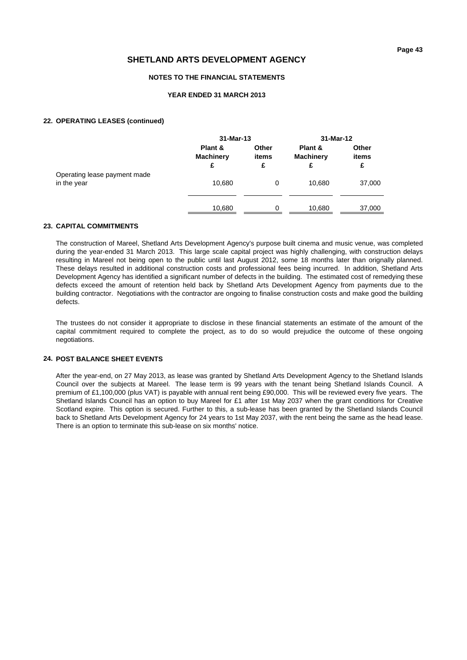#### **NOTES TO THE FINANCIAL STATEMENTS**

#### **YEAR ENDED 31 MARCH 2013**

#### **22. OPERATING LEASES (continued)**

|                                             |                                  | 31-Mar-13           |                                  | 31-Mar-12           |
|---------------------------------------------|----------------------------------|---------------------|----------------------------------|---------------------|
|                                             | Plant &<br><b>Machinery</b><br>£ | Other<br>items<br>£ | Plant &<br><b>Machinery</b><br>£ | Other<br>items<br>£ |
| Operating lease payment made<br>in the year | 10,680                           | 0                   | 10,680                           | 37,000              |
|                                             | 10,680                           | $\Omega$            | 10,680                           | 37,000              |

#### **23. CAPITAL COMMITMENTS**

The construction of Mareel, Shetland Arts Development Agency's purpose built cinema and music venue, was completed during the year-ended 31 March 2013. This large scale capital project was highly challenging, with construction delays resulting in Mareel not being open to the public until last August 2012, some 18 months later than orignally planned. These delays resulted in additional construction costs and professional fees being incurred. In addition, Shetland Arts Development Agency has identified a significant number of defects in the building. The estimated cost of remedying these defects exceed the amount of retention held back by Shetland Arts Development Agency from payments due to the building contractor. Negotiations with the contractor are ongoing to finalise construction costs and make good the building defects.

The trustees do not consider it appropriate to disclose in these financial statements an estimate of the amount of the capital commitment required to complete the project, as to do so would prejudice the outcome of these ongoing negotiations.

#### **24. POST BALANCE SHEET EVENTS**

After the year-end, on 27 May 2013, as lease was granted by Shetland Arts Development Agency to the Shetland Islands Council over the subjects at Mareel. The lease term is 99 years with the tenant being Shetland Islands Council. A premium of £1,100,000 (plus VAT) is payable with annual rent being £90,000. This will be reviewed every five years. The Shetland Islands Council has an option to buy Mareel for £1 after 1st May 2037 when the grant conditions for Creative Scotland expire. This option is secured. Further to this, a sub-lease has been granted by the Shetland Islands Council back to Shetland Arts Development Agency for 24 years to 1st May 2037, with the rent being the same as the head lease. There is an option to terminate this sub-lease on six months' notice.